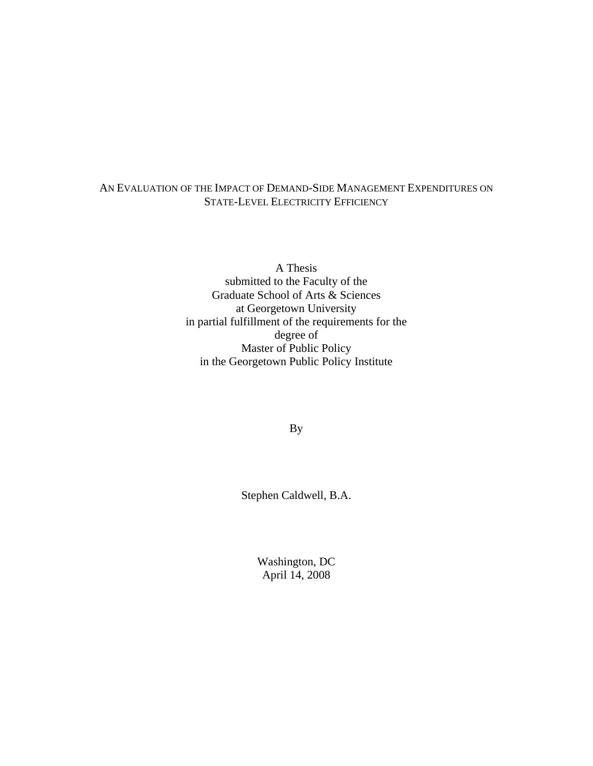## AN EVALUATION OF THE IMPACT OF DEMAND-SIDE MANAGEMENT EXPENDITURES ON STATE-LEVEL ELECTRICITY EFFICIENCY

A Thesis submitted to the Faculty of the Graduate School of Arts & Sciences at Georgetown University in partial fulfillment of the requirements for the degree of  $\blacksquare$ Master of Public Policy **Example 2018** in the Georgetown Public Policy Institute

By

Stephen Caldwell, B.A.

Washington, DC April 14, 2008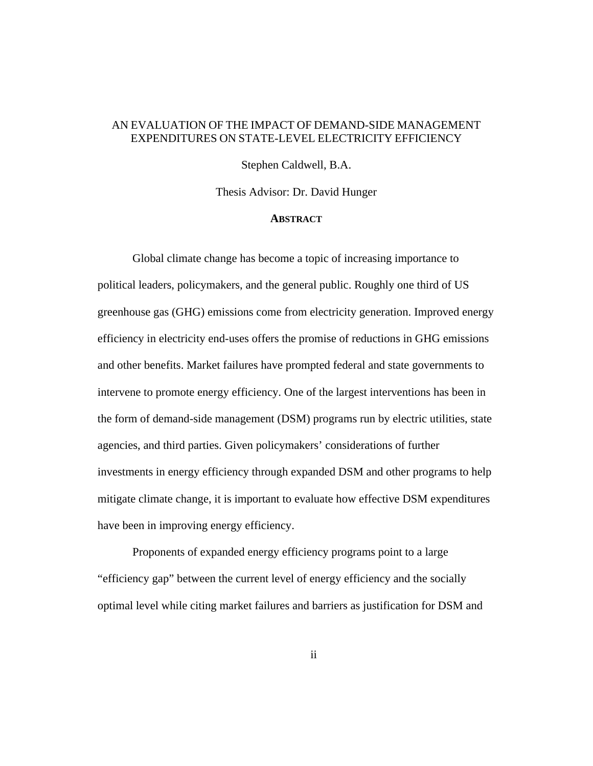### AN EVALUATION OF THE IMPACT OF DEMAND-SIDE MANAGEMENT EXPENDITURES ON STATE-LEVEL ELECTRICITY EFFICIENCY

Stephen Caldwell, B.A.

Thesis Advisor: Dr. David Hunger

#### **ABSTRACT**

Global climate change has become a topic of increasing importance to political leaders, policymakers, and the general public. Roughly one third of US greenhouse gas (GHG) emissions come from electricity generation. Improved energy efficiency in electricity end-uses offers the promise of reductions in GHG emissions and other benefits. Market failures have prompted federal and state governments to intervene to promote energy efficiency. One of the largest interventions has been in the form of demand-side management (DSM) programs run by electric utilities, state agencies, and third parties. Given policymakers' considerations of further investments in energy efficiency through expanded DSM and other programs to help mitigate climate change, it is important to evaluate how effective DSM expenditures have been in improving energy efficiency.

Proponents of expanded energy efficiency programs point to a large "efficiency gap" between the current level of energy efficiency and the socially optimal level while citing market failures and barriers as justification for DSM and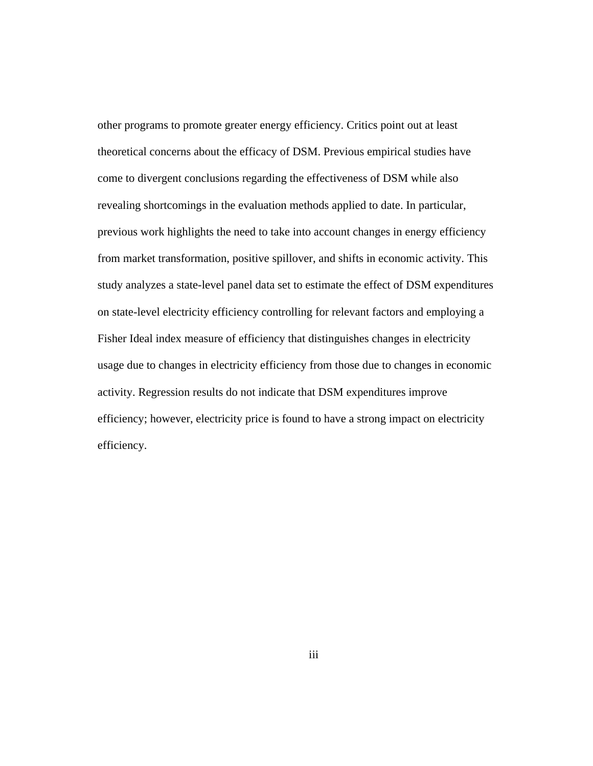other programs to promote greater energy efficiency. Critics point out at least theoretical concerns about the efficacy of DSM. Previous empirical studies have come to divergent conclusions regarding the effectiveness of DSM while also revealing shortcomings in the evaluation methods applied to date. In particular, previous work highlights the need to take into account changes in energy efficiency from market transformation, positive spillover, and shifts in economic activity. This study analyzes a state-level panel data set to estimate the effect of DSM expenditures on state-level electricity efficiency controlling for relevant factors and employing a Fisher Ideal index measure of efficiency that distinguishes changes in electricity usage due to changes in electricity efficiency from those due to changes in economic activity. Regression results do not indicate that DSM expenditures improve efficiency; however, electricity price is found to have a strong impact on electricity efficiency.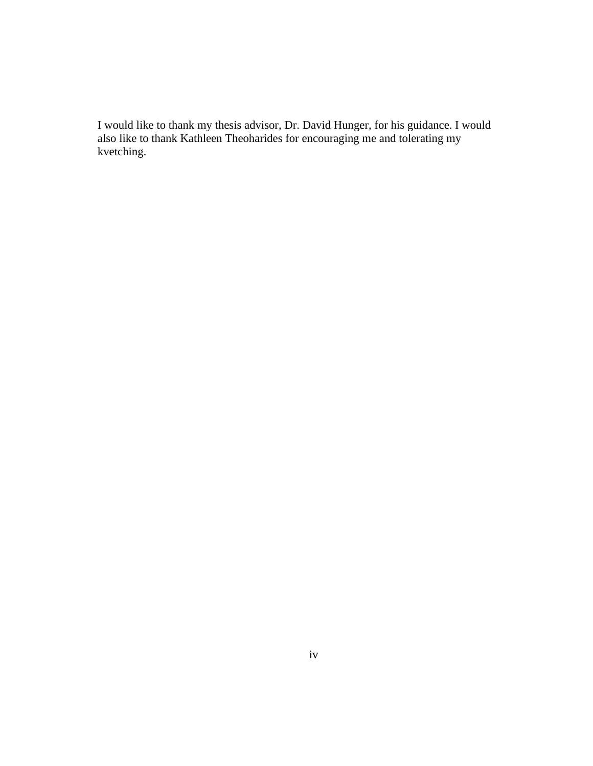I would like to thank my thesis advisor, Dr. David Hunger, for his guidance. I would also like to thank Kathleen Theoharides for encouraging me and tolerating my kvetching.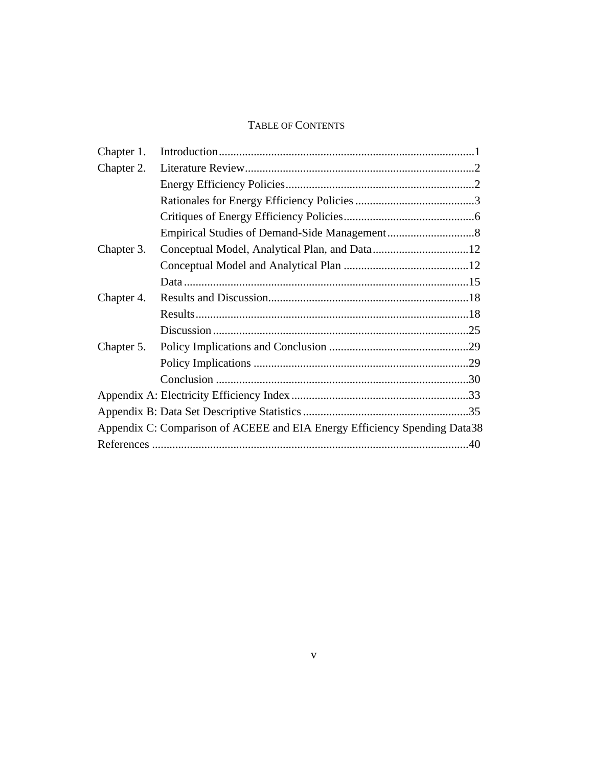#### TABLE OF CONTENTS

| Chapter 1. |                                                                           |
|------------|---------------------------------------------------------------------------|
| Chapter 2. |                                                                           |
|            |                                                                           |
|            |                                                                           |
|            |                                                                           |
|            |                                                                           |
|            |                                                                           |
|            |                                                                           |
|            |                                                                           |
| Chapter 4. |                                                                           |
|            | Results                                                                   |
|            | Discussion                                                                |
|            |                                                                           |
|            |                                                                           |
|            |                                                                           |
|            |                                                                           |
|            |                                                                           |
|            | Appendix C: Comparison of ACEEE and EIA Energy Efficiency Spending Data38 |
|            |                                                                           |
|            |                                                                           |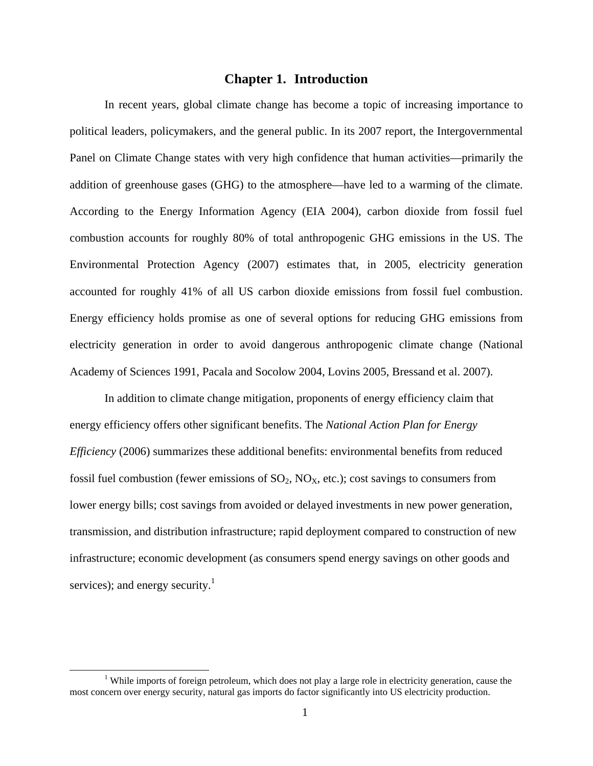### **Chapter 1. Introduction**

In recent years, global climate change has become a topic of increasing importance to political leaders, policymakers, and the general public. In its 2007 report, the Intergovernmental Panel on Climate Change states with very high confidence that human activities—primarily the addition of greenhouse gases (GHG) to the atmosphere—have led to a warming of the climate. According to the Energy Information Agency (EIA 2004), carbon dioxide from fossil fuel combustion accounts for roughly 80% of total anthropogenic GHG emissions in the US. The Environmental Protection Agency (2007) estimates that, in 2005, electricity generation accounted for roughly 41% of all US carbon dioxide emissions from fossil fuel combustion. Energy efficiency holds promise as one of several options for reducing GHG emissions from electricity generation in order to avoid dangerous anthropogenic climate change (National Academy of Sciences 1991, Pacala and Socolow 2004, Lovins 2005, Bressand et al. 2007).

In addition to climate change mitigation, proponents of energy efficiency claim that energy efficiency offers other significant benefits. The *National Action Plan for Energy Efficiency* (2006) summarizes these additional benefits: environmental benefits from reduced fossil fuel combustion (fewer emissions of  $SO_2$ ,  $NO<sub>X</sub>$ , etc.); cost savings to consumers from lower energy bills; cost savings from avoided or delayed investments in new power generation, transmission, and distribution infrastructure; rapid deployment compared to construction of new infrastructure; economic development (as consumers spend energy savings on other goods and services); and energy security.<sup>1</sup>

<sup>&</sup>lt;sup>1</sup> While imports of foreign petroleum, which does not play a large role in electricity generation, cause the most concern over energy security, natural gas imports do factor significantly into US electricity production.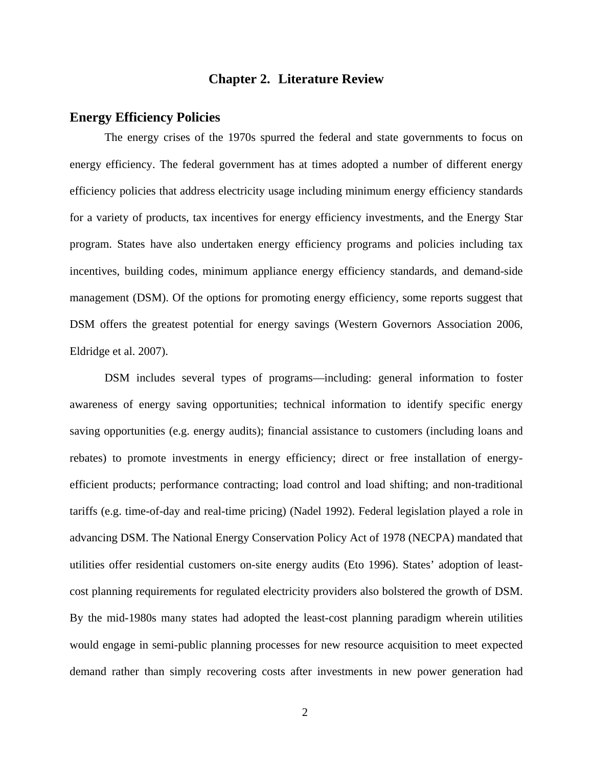## **Chapter 2. Literature Review**

### **Energy Efficiency Policies**

The energy crises of the 1970s spurred the federal and state governments to focus on energy efficiency. The federal government has at times adopted a number of different energy efficiency policies that address electricity usage including minimum energy efficiency standards for a variety of products, tax incentives for energy efficiency investments, and the Energy Star program. States have also undertaken energy efficiency programs and policies including tax incentives, building codes, minimum appliance energy efficiency standards, and demand-side management (DSM). Of the options for promoting energy efficiency, some reports suggest that DSM offers the greatest potential for energy savings (Western Governors Association 2006, Eldridge et al. 2007).

DSM includes several types of programs—including: general information to foster awareness of energy saving opportunities; technical information to identify specific energy saving opportunities (e.g. energy audits); financial assistance to customers (including loans and rebates) to promote investments in energy efficiency; direct or free installation of energy efficient products; performance contracting; load control and load shifting; and non-traditional tariffs (e.g. time-of-day and real-time pricing) (Nadel 1992). Federal legislation played a role in advancing DSM. The National Energy Conservation Policy Act of 1978 (NECPA) mandated that utilities offer residential customers on-site energy audits (Eto 1996). States' adoption of least cost planning requirements for regulated electricity providers also bolstered the growth of DSM. By the mid-1980s many states had adopted the least-cost planning paradigm wherein utilities would engage in semi-public planning processes for new resource acquisition to meet expected demand rather than simply recovering costs after investments in new power generation had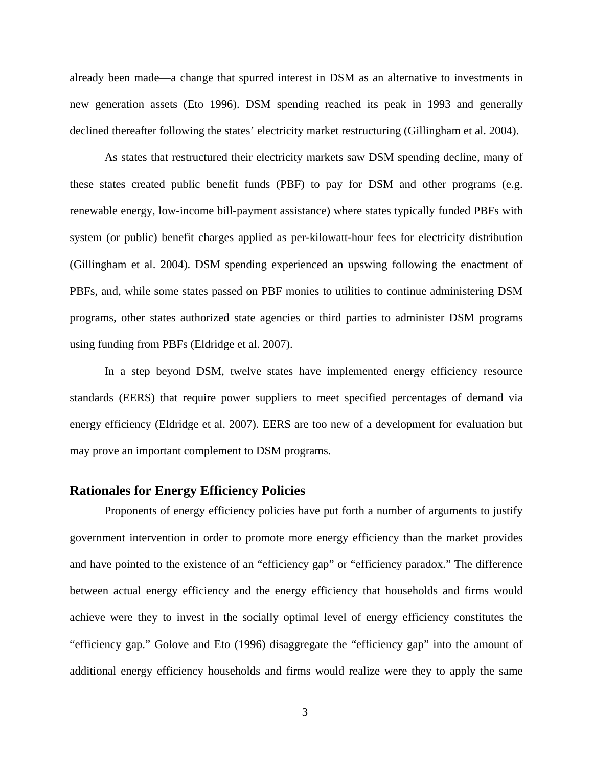already been made—a change that spurred interest in DSM as an alternative to investments in new generation assets (Eto 1996). DSM spending reached its peak in 1993 and generally declined thereafter following the states' electricity market restructuring (Gillingham et al. 2004).

As states that restructured their electricity markets saw DSM spending decline, many of these states created public benefit funds (PBF) to pay for DSM and other programs (e.g. renewable energy, low-income bill-payment assistance) where states typically funded PBFs with system (or public) benefit charges applied as per-kilowatt-hour fees for electricity distribution (Gillingham et al. 2004). DSM spending experienced an upswing following the enactment of PBFs, and, while some states passed on PBF monies to utilities to continue administering DSM programs, other states authorized state agencies or third parties to administer DSM programs using funding from PBFs (Eldridge et al. 2007).

In a step beyond DSM, twelve states have implemented energy efficiency resource standards (EERS) that require power suppliers to meet specified percentages of demand via energy efficiency (Eldridge et al. 2007). EERS are too new of a development for evaluation but may prove an important complement to DSM programs.

## **Rationales for Energy Efficiency Policies**

Proponents of energy efficiency policies have put forth a number of arguments to justify government intervention in order to promote more energy efficiency than the market provides and have pointed to the existence of an "efficiency gap" or "efficiency paradox." The difference between actual energy efficiency and the energy efficiency that households and firms would achieve were they to invest in the socially optimal level of energy efficiency constitutes the "efficiency gap." Golove and Eto (1996) disaggregate the "efficiency gap" into the amount of additional energy efficiency households and firms would realize were they to apply the same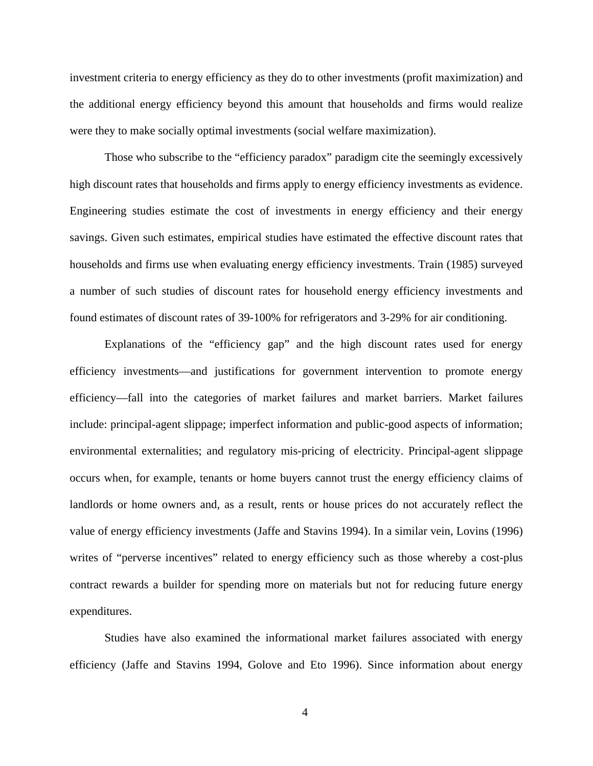investment criteria to energy efficiency as they do to other investments (profit maximization) and the additional energy efficiency beyond this amount that households and firms would realize were they to make socially optimal investments (social welfare maximization).

Those who subscribe to the "efficiency paradox" paradigm cite the seemingly excessively high discount rates that households and firms apply to energy efficiency investments as evidence. Engineering studies estimate the cost of investments in energy efficiency and their energy savings. Given such estimates, empirical studies have estimated the effective discount rates that households and firms use when evaluating energy efficiency investments. Train (1985) surveyed a number of such studies of discount rates for household energy efficiency investments and found estimates of discount rates of 39-100% for refrigerators and 3-29% for air conditioning.

Explanations of the "efficiency gap" and the high discount rates used for energy efficiency investments—and justifications for government intervention to promote energy efficiency—fall into the categories of market failures and market barriers. Market failures include: principal-agent slippage; imperfect information and public-good aspects of information; environmental externalities; and regulatory mis-pricing of electricity. Principal-agent slippage occurs when, for example, tenants or home buyers cannot trust the energy efficiency claims of landlords or home owners and, as a result, rents or house prices do not accurately reflect the value of energy efficiency investments (Jaffe and Stavins 1994). In a similar vein, Lovins (1996) writes of "perverse incentives" related to energy efficiency such as those whereby a cost-plus contract rewards a builder for spending more on materials but not for reducing future energy expenditures.

Studies have also examined the informational market failures associated with energy efficiency (Jaffe and Stavins 1994, Golove and Eto 1996). Since information about energy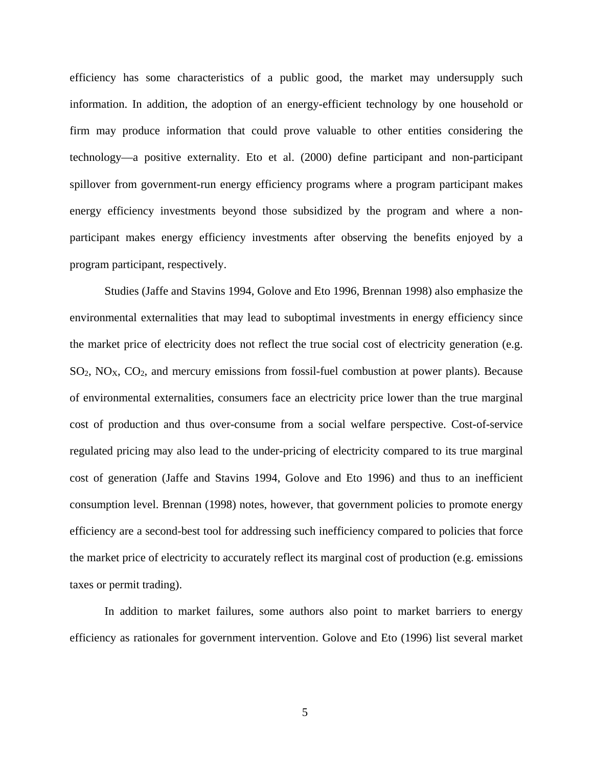efficiency has some characteristics of a public good, the market may undersupply such information. In addition, the adoption of an energy-efficient technology by one household or firm may produce information that could prove valuable to other entities considering the technology—a positive externality. Eto et al. (2000) define participant and non-participant spillover from government-run energy efficiency programs where a program participant makes energy efficiency investments beyond those subsidized by the program and where a non participant makes energy efficiency investments after observing the benefits enjoyed by a program participant, respectively.

Studies (Jaffe and Stavins 1994, Golove and Eto 1996, Brennan 1998) also emphasize the environmental externalities that may lead to suboptimal investments in energy efficiency since the market price of electricity does not reflect the true social cost of electricity generation (e.g.  $SO_2$ ,  $NO<sub>X</sub>$ ,  $CO_2$ , and mercury emissions from fossil-fuel combustion at power plants). Because of environmental externalities, consumers face an electricity price lower than the true marginal cost of production and thus over-consume from a social welfare perspective. Cost-of-service regulated pricing may also lead to the under-pricing of electricity compared to its true marginal cost of generation (Jaffe and Stavins 1994, Golove and Eto 1996) and thus to an inefficient consumption level. Brennan (1998) notes, however, that government policies to promote energy efficiency are a second-best tool for addressing such inefficiency compared to policies that force the market price of electricity to accurately reflect its marginal cost of production (e.g. emissions taxes or permit trading).

In addition to market failures, some authors also point to market barriers to energy efficiency as rationales for government intervention. Golove and Eto (1996) list several market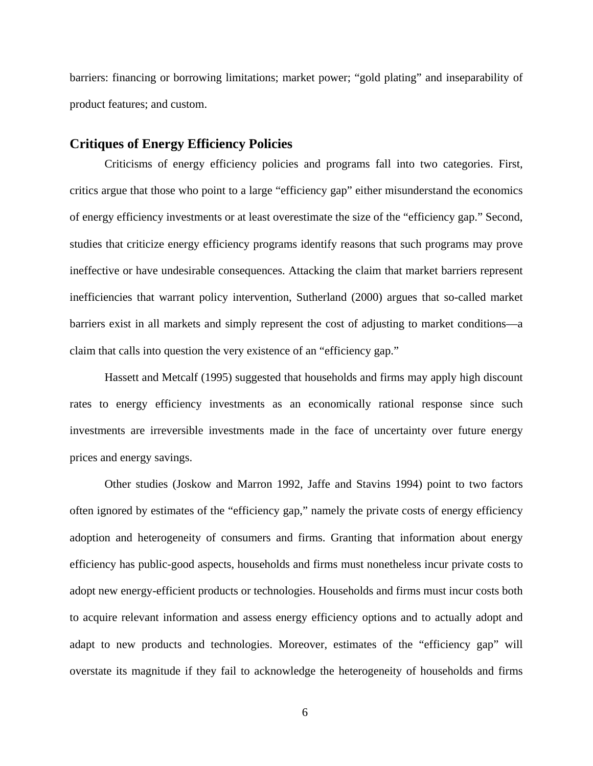barriers: financing or borrowing limitations; market power; "gold plating" and inseparability of product features; and custom.

## **Critiques of Energy Efficiency Policies**

Criticisms of energy efficiency policies and programs fall into two categories. First, critics argue that those who point to a large "efficiency gap" either misunderstand the economics of energy efficiency investments or at least overestimate the size of the "efficiency gap." Second, studies that criticize energy efficiency programs identify reasons that such programs may prove ineffective or have undesirable consequences. Attacking the claim that market barriers represent inefficiencies that warrant policy intervention, Sutherland (2000) argues that so-called market barriers exist in all markets and simply represent the cost of adjusting to market conditions—a claim that calls into question the very existence of an "efficiency gap."

Hassett and Metcalf (1995) suggested that households and firms may apply high discount rates to energy efficiency investments as an economically rational response since such investments are irreversible investments made in the face of uncertainty over future energy prices and energy savings.

Other studies (Joskow and Marron 1992, Jaffe and Stavins 1994) point to two factors often ignored by estimates of the "efficiency gap," namely the private costs of energy efficiency adoption and heterogeneity of consumers and firms. Granting that information about energy efficiency has public-good aspects, households and firms must nonetheless incurprivate costs to adopt new energy-efficient products or technologies. Households and firms must incur costs both to acquire relevant information and assess energy efficiency options and to actually adopt and adapt to new products and technologies. Moreover, estimates of the "efficiency gap" will overstate its magnitude if they fail to acknowledge the heterogeneity of households and firms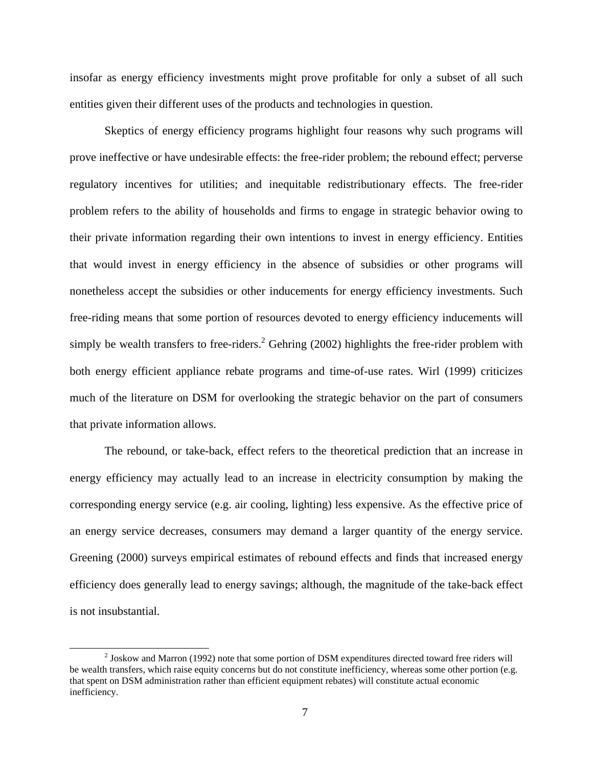insofar as energy efficiency investments might prove profitable for only a subset of all such entities given their different uses of the products and technologies in question.

Skeptics of energy efficiency programs highlight four reasons why such programs will prove ineffective or have undesirable effects: the free-rider problem; the rebound effect; perverse regulatory incentives for utilities; and inequitable redistributionary effects.The free-rider problem refers to the ability of households and firms to engage in strategic behavior owing to their private information regarding their own intentions to invest in energy efficiency. Entities that would invest in energy efficiency in the absence of subsidies or other programs will nonetheless accept the subsidies or other inducements for energy efficiency investments. Such free-riding means that some portion of resources devoted to energy efficiency inducements will simply be wealth transfers to free-riders.<sup>2</sup> Gehring (2002) highlights the free-rider problem with both energy efficient appliance rebate programs and time-of-use rates. Wirl (1999) criticizes much of the literature on DSM for overlooking the strategic behavior on the part of consumers that private information allows.

The rebound, or take-back, effect refers to the theoretical prediction that an increase in energy efficiency may actually lead to an increase in electricity consumption by making the corresponding energy service (e.g. air cooling, lighting) less expensive. As the effective price of an energy service decreases, consumers may demand a larger quantity of the energy service. Greening (2000) surveys empirical estimates of rebound effects and finds that increased energy efficiency does generally lead to energy savings; although, the magnitude of the take-back effect is not insubstantial.

<sup>&</sup>lt;sup>2</sup> Joskow and Marron (1992) note that some portion of DSM expenditures directed toward free riders will be wealth transfers, which raise equity concerns but do not constitute inefficiency, whereas some other portion (e.g. that spent on DSM administration rather than efficient equipment rebates) will constitute actual economic inefficiency.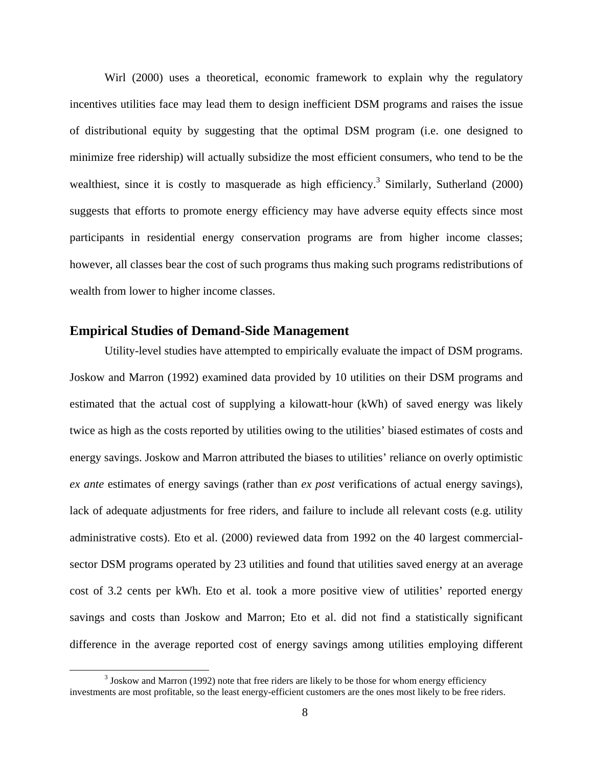Wirl (2000) uses a theoretical, economic framework to explain why the regulatory incentives utilities face may lead them to design inefficient DSM programs and raises the issue of distributional equity by suggesting that the optimal DSM program (i.e. one designed to minimize free ridership) will actually subsidize the most efficient consumers, who tend to be the wealthiest, since it is costly to masquerade as high efficiency.<sup>3</sup> Similarly, Sutherland (2000) suggests that efforts to promote energy efficiency may have adverse equity effects since most participants in residential energy conservation programs are from higher income classes; however, all classes bear the cost of such programs thus making such programs redistributions of wealth from lower to higher income classes.

#### **Empirical Studies of Demand-Side Management**

Utility-level studies have attempted to empirically evaluate the impact of DSM programs. Joskow and Marron (1992) examined data provided by 10 utilities on their DSM programs and estimated that the actual cost of supplying a kilowatt-hour (kWh) of saved energy was likely twice as high as the costs reported by utilities owing to the utilities' biased estimates of costs and energy savings. Joskow and Marron attributed the biases to utilities' reliance on overly optimistic *ex ante* estimates of energy savings (rather than *ex post* verifications of actual energy savings), lack of adequate adjustments for free riders, and failure to include all relevant costs (e.g. utility administrative costs). Eto et al. (2000) reviewed data from 1992 on the 40 largest commercialsector DSM programs operated by 23 utilities and found that utilities saved energy at an average cost of 3.2 cents per kWh. Eto et al. took a more positive view of utilities' reported energy savings and costs than Joskow and Marron; Eto et al. did not find a statistically significant difference in the average reported cost of energy savings among utilities employing different

<sup>&</sup>lt;sup>3</sup> Joskow and Marron (1992) note that free riders are likely to be those for whom energy efficiency investments are most profitable, so the least energy-efficient customers are the ones most likely to be free riders.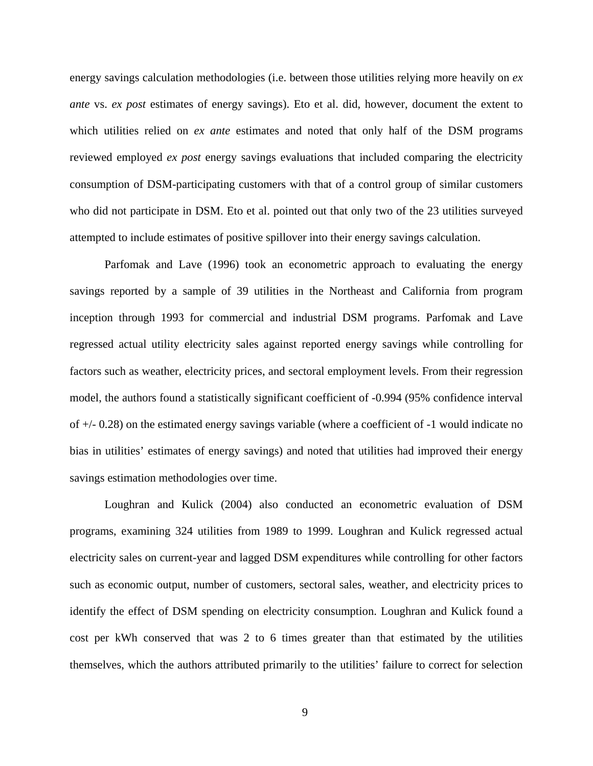energy savings calculation methodologies (i.e. between those utilities relying more heavily on *ex ante* vs. *ex post* estimates of energy savings). Eto et al. did, however, document the extent to which utilities relied on *ex ante* estimates and noted that only half of the DSM programs reviewed employed *ex post* energy savings evaluations that included comparing the electricity consumption of DSM-participating customers with that of a control group of similar customers who did not participate in DSM. Eto et al. pointed out that only two of the 23 utilities surveyed attempted to include estimates of positive spillover into their energy savings calculation.

Parfomak and Lave (1996) took an econometric approach to evaluating the energy savings reported by a sample of 39 utilities in the Northeast and California from program inception through 1993 for commercial and industrial DSM programs. Parfomak and Lave regressed actual utility electricity sales against reported energy savings while controlling for factors such as weather, electricity prices, and sectoral employment levels. From their regression model, the authors found a statistically significant coefficient of -0.994 (95% confidence interval of +/- 0.28) on the estimated energy savings variable (where a coefficient of -1 would indicate no bias in utilities' estimates of energy savings) and noted that utilities had improved their energy savings estimation methodologies over time.

Loughran and Kulick (2004) also conducted an econometric evaluation of DSM programs, examining 324 utilities from 1989 to 1999. Loughran and Kulick regressed actual electricity sales on current-year and lagged DSM expenditures while controlling for other factors such as economic output, number of customers, sectoral sales, weather, and electricity prices to identify the effect of DSM spending on electricity consumption. Loughran and Kulick found a cost per kWh conserved that was 2 to 6 times greater than that estimated by the utilities themselves, which the authors attributed primarily to the utilities' failure to correct for selection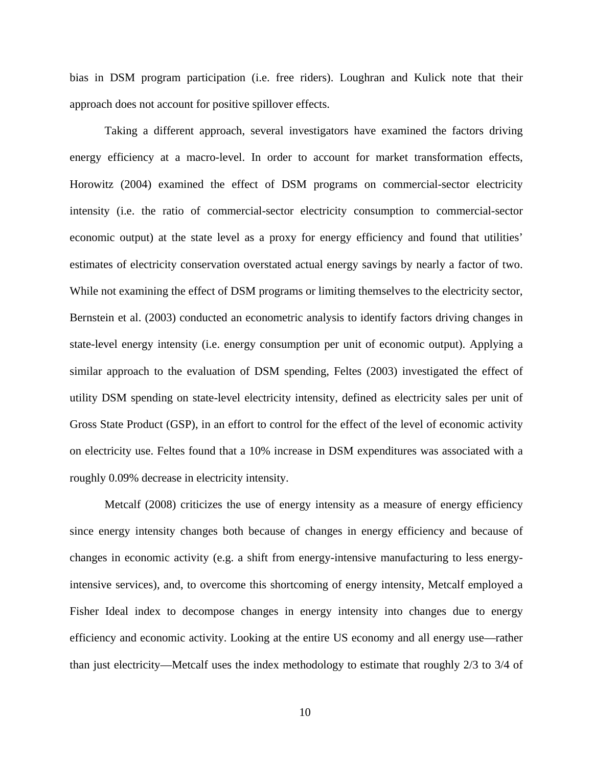bias in DSM program participation (i.e. free riders). Loughran and Kulick note that their approach does not account for positive spillover effects.

Taking a different approach, several investigators have examined the factors driving energy efficiency at a macro-level. In order to account for market transformation effects, Horowitz (2004) examined the effect of DSM programs on commercial-sector electricity intensity (i.e. the ratio of commercial-sector electricity consumption to commercial-sector economic output) at the state level as a proxy for energy efficiency and found that utilities' estimates of electricity conservation overstated actual energy savings by nearly a factor of two. While not examining the effect of DSM programs or limiting themselves to the electricity sector, Bernstein et al. (2003) conducted an econometric analysis to identify factors driving changes in state-level energy intensity (i.e. energy consumption per unit of economic output). Applying a similar approach to the evaluation of DSM spending, Feltes (2003) investigated the effect of utility DSM spending on state-level electricity intensity, defined as electricity sales per unit of Gross State Product (GSP), in an effort to control for the effect of the level of economic activity on electricity use. Feltes found that a 10% increase in DSM expenditures was associated with a roughly 0.09% decrease in electricity intensity.

Metcalf (2008) criticizes the use of energy intensity as a measure of energy efficiency since energy intensity changes both because of changes in energy efficiency and because of changes in economic activity (e.g. a shift from energy-intensive manufacturing to less energyintensive services), and, to overcome this shortcoming of energy intensity, Metcalf employed a Fisher Ideal index to decompose changes in energy intensity into changes due to energy efficiency and economic activity. Looking at the entire US economy and all energy use—rather than just electricity—Metcalf uses the index methodology to estimate that roughly 2/3 to 3/4 of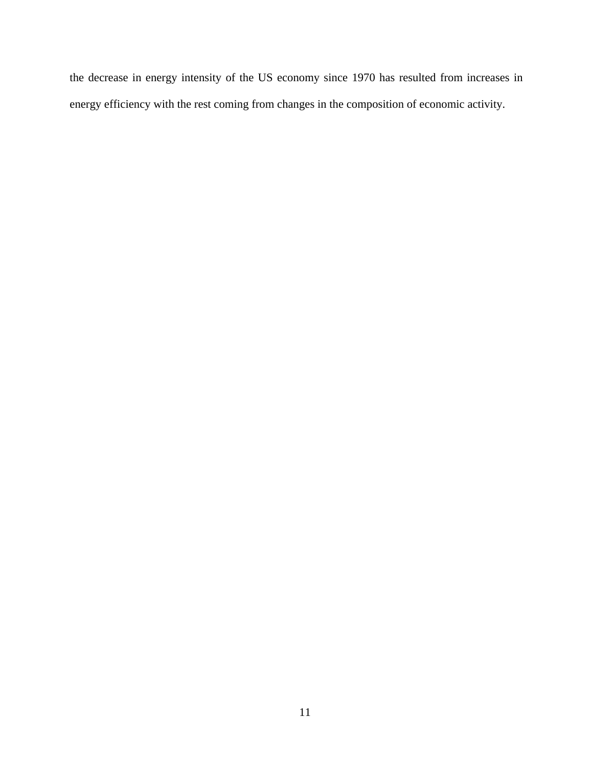the decrease in energy intensity of the US economy since 1970 has resulted from increases in energy efficiency with the rest coming from changes in the composition of economic activity.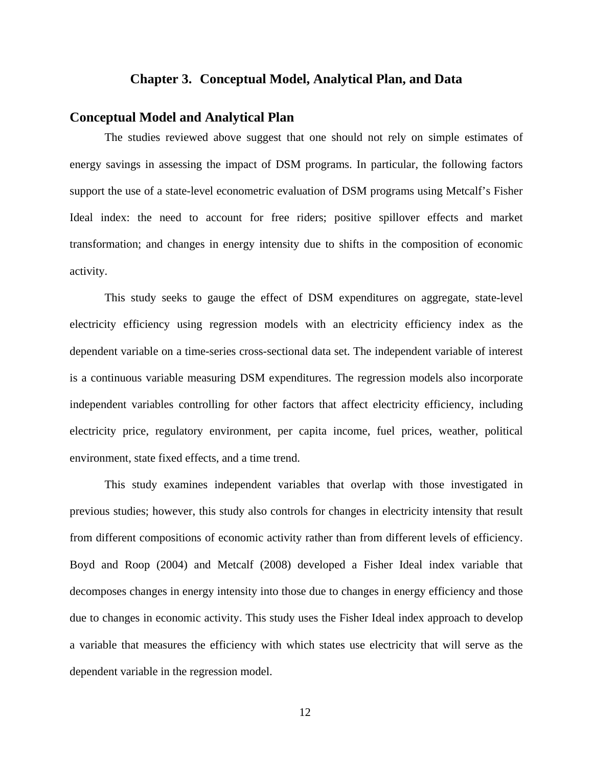### **Chapter 3. Conceptual Model, Analytical Plan, and Data**

## **Conceptual Model and Analytical Plan**

The studies reviewed above suggest that one should not rely on simple estimates of energy savings in assessing the impact of DSM programs. In particular, the following factors support the use of a state-level econometric evaluation of DSM programs using Metcalf's Fisher Ideal index: the need to account for free riders; positive spillover effects and market transformation; and changes in energy intensity due to shifts in the composition of economic activity.

This study seeks to gauge the effect of DSM expenditures on aggregate, state-level electricity efficiency using regression models with an electricity efficiency index as the dependent variable on a time-series cross-sectional data set. The independent variable of interest is a continuous variable measuring DSM expenditures. The regression models also incorporate independent variables controlling for other factors that affect electricity efficiency, including electricity price, regulatory environment, per capita income, fuel prices, weather, political environment, state fixed effects, and a time trend.

This study examines independent variables that overlap with those investigated in previous studies; however, this study also controls for changes in electricity intensity that result from different compositions of economic activity rather than from different levels of efficiency. Boyd and Roop (2004) and Metcalf (2008) developed a Fisher Ideal index variable that decomposes changes in energy intensity into those due to changes in energy efficiency and those due to changes in economic activity. This study uses the Fisher Ideal index approach to develop a variable that measures the efficiency with which states use electricity that will serve as the dependent variable in the regression model.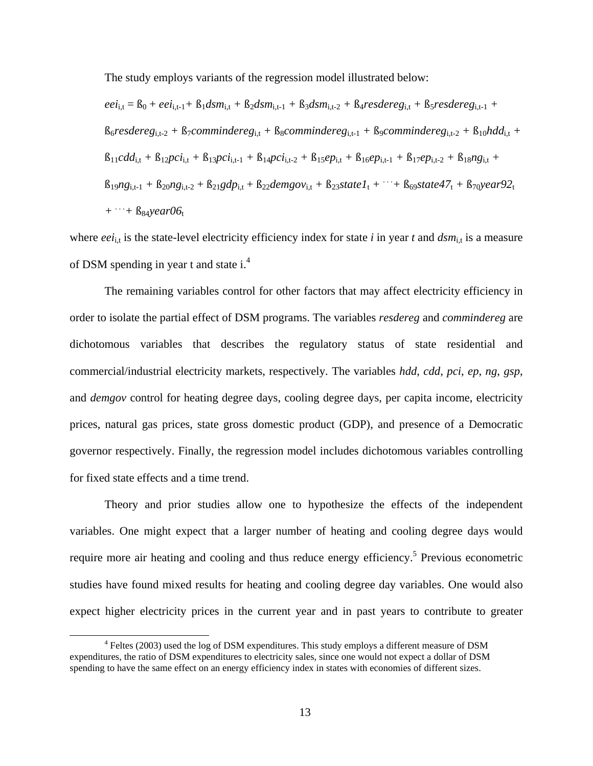The study employs variants of the regression model illustrated below:

$$
eei_{i,t} = B_0 + eei_{i,t-1} + B_1dsm_{i,t} + B_2dsm_{i,t-1} + B_3dsm_{i,t-2} + B_4resdereg_{i,t} + B_5resdereg_{i,t-1} + B_6resdereg_{i,t-2} + B_7commindereg_{i,t} + B_8commindereg_{i,t-1} + B_9commindereg_{i,t-2} + B_{10}hdd_{i,t} + B_{11}cdd_{i,t} + B_{12}pci_{i,t} + B_{13}pci_{i,t-1} + B_{14}pci_{i,t-2} + B_{15}ep_{i,t} + B_{16}ep_{i,t-1} + B_{17}ep_{i,t-2} + B_{18}ng_{i,t} + B_{19}ng_{i,t-1} + B_{20}ng_{i,t-2} + B_{21}gdp_{i,t} + B_{22}demgov_{i,t} + B_{23}state1_t + \cdots + B_{69}state47_t + B_{70}year92_t + \cdots + B_{84}year06_t
$$

where  $eei_{i,t}$  is the state-level electricity efficiency index for state *i* in year *t* and  $dsm_{i,t}$  is a measure of DSM spending in year t and state i.<sup>4</sup>

The remaining variables control for other factors that may affect electricity efficiency in order to isolate the partial effect of DSM programs. The variables *resdereg* and *commindereg* are dichotomous variables that describes the regulatory status of state residential and commercial/industrial electricity markets, respectively. The variables *hdd*, *cdd*, *pci*, *ep*, *ng*, *gsp*,<br>and *demgov* control for heating degree days, cooling degree days, per capita income, electricity prices, natural gas prices, state gross domestic product (GDP), and presence of a Democratic governor respectively. Finally, the regression model includes dichotomous variables controlling for fixed state effects and a time trend.

Theory and prior studies allow one to hypothesize the effects of the independent variables. One might expect that a larger number of heating and cooling degree days would require more air heating and cooling and thus reduce energy efficiency.<sup>5</sup> Previous econometric studies have found mixed results for heating and cooling degree day variables. One would also expect higher electricity prices in the current year and in past years to contribute to greater

<sup>&</sup>lt;sup>4</sup> Feltes (2003) used the log of DSM expenditures. This study employs a different measure of DSM expenditures, the ratio of DSM expenditures to electricity sales, since one would not expect a dollar of DSM spending to have the same effect on an energy efficiency index in states with economies of different sizes.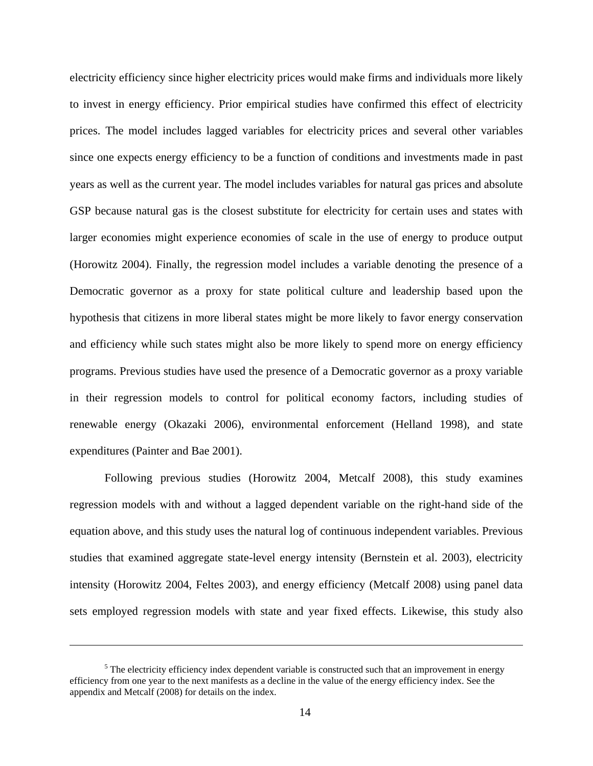electricity efficiency since higher electricity prices would make firms and individuals more likely to invest in energy efficiency. Prior empirical studies have confirmed this effect of electricity prices. The model includes lagged variables for electricity prices and several other variables since one expects energy efficiency to be a function of conditions and investments made in past years as well as the current year. The model includes variables for natural gas prices and absolute GSP because natural gas is the closest substitute for electricity for certain uses and states with larger economies might experience economies of scale in the use of energy to produce output (Horowitz 2004). Finally, the regression model includes a variable denoting the presence of a Democratic governor as a proxy for state political culture and leadership based upon the hypothesis that citizens in more liberal states might be more likely to favor energy conservation and efficiency while such states might also be more likely to spend more on energy efficiency programs. Previous studies have used the presence of a Democratic governor as a proxy variable in their regression models to control for political economy factors, including studies of renewable energy (Okazaki 2006), environmental enforcement (Helland 1998), and state expenditures (Painter and Bae 2001).

Following previous studies (Horowitz 2004, Metcalf 2008), this study examines regression models with and without a lagged dependent variable on the right-hand side of the equation above, and this study uses the natural log of continuous independent variables. Previous studies that examined aggregate state-level energy intensity (Bernstein et al. 2003), electricity intensity (Horowitz 2004, Feltes 2003), and energy efficiency (Metcalf 2008) using panel data sets employed regression models with state and year fixed effects. Likewise, this study also

 $\frac{5}{5}$  The electricity efficiency index dependent verieble is constructed such that an improvement in energy.  $<sup>5</sup>$  The electricity efficiency index dependent variable is constructed such that an improvement in energy</sup> efficiency from one year to the next manifests as a decline in the value of the energy efficiency index. See the appendix and Metcalf (2008) for details on the index.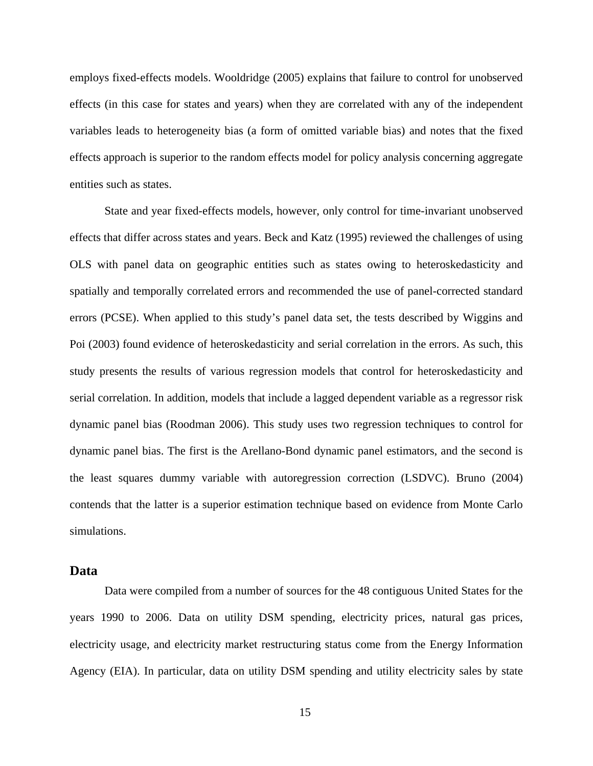employs fixed-effects models. Wooldridge (2005) explains that failure to control for unobserved effects (in this case for states and years) when they are correlated with any of the independent variables leads to heterogeneity bias (a form of omitted variable bias) and notes that the fixed effects approach is superior to the random effects model for policy analysis concerning aggregate entities such as states.

State and year fixed-effects models, however, only control for time-invariant unobserved effects that differ across states and years. Beck and Katz (1995) reviewed the challenges of using OLS with panel data on geographic entities such as states owing to heteroskedasticity and spatially and temporally correlated errors and recommended the use of panel-corrected standard errors (PCSE). When applied to this study's panel dataset, the tests described by Wiggins and Poi (2003) found evidence of heteroskedasticity and serial correlation in the errors. As such, this study presents the results of various regression models that control for heteroskedasticity and serial correlation. In addition, models that include a lagged dependent variable as a regressor risk dynamic panel bias (Roodman 2006). This study uses two regression techniques to control for dynamic panel bias. The first is the Arellano-Bond dynamic panel estimators, and the second is the least squares dummy variable with autoregression correction (LSDVC). Bruno (2004) contends that the latter is a superior estimation technique based on evidence from Monte Carlo simulations.

## **Data**

Data were compiled from a number of sources for the 48 contiguous United States for the years 1990 to 2006. Data on utility DSM spending, electricity prices, natural gas prices, electricity usage, and electricity market restructuring status come from the Energy Information Agency (EIA). In particular, data on utility DSM spending and utility electricity sales by state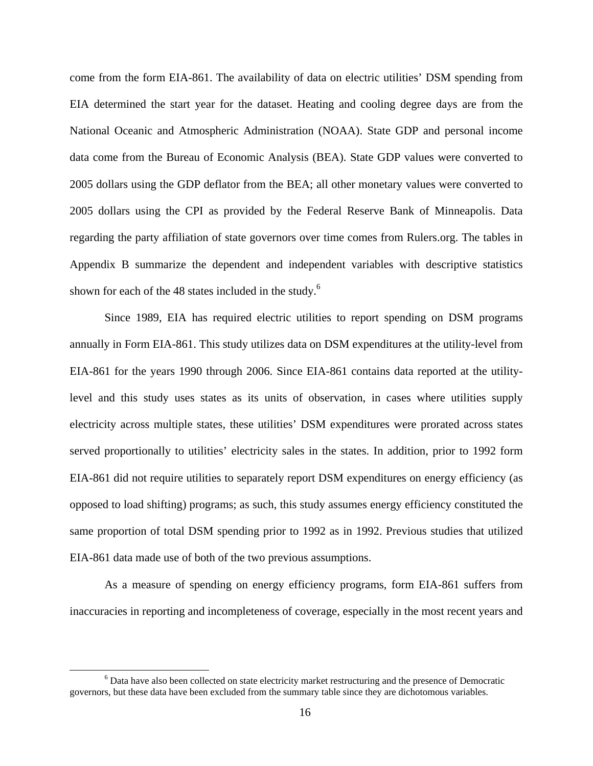come from the form EIA-861. The availability of data on electric utilities' DSM spending from EIA determined the start year for the dataset. Heating and cooling degree days are from the National Oceanic and Atmospheric Administration (NOAA). State GDP and personal income data come from the Bureau of Economic Analysis (BEA). State GDP values were converted to 2005 dollars using the GDP deflator from the BEA; all other monetary values were converted to 2005 dollars using the CPI as provided by the Federal Reserve Bank of Minneapolis. Data regarding the party affiliation of state governors over time comesfrom Rulers.org. The tables in Appendix B summarize the dependent and independent variables with descriptive statistics shown for each of the 48 states included in the study.<sup>6</sup>

Since 1989, EIA has required electric utilities to report spending on DSM programs annually in Form EIA-861. This study utilizes data on DSM expenditures at the utility-level from EIA-861 for the years 1990 through 2006. Since EIA-861 contains data reported at the utilitylevel and this study uses states as its units of observation, in cases where utilities supply electricity across multiple states, these utilities' DSM expenditures were prorated across states served proportionally to utilities' electricity sales in the states. In addition, prior to 1992 form EIA-861 did not require utilities to separately report DSM expenditures on energy efficiency (as opposed to load shifting) programs; as such, this study assumes energy efficiency constituted the same proportion of total DSM spending prior to 1992 as in 1992. Previous studies that utilized EIA-861 data made use of both of the two previous assumptions.

As a measure of spending on energy efficiency programs, form EIA-861 suffers from inaccuracies in reporting and incompleteness of coverage, especially in the most recent years and

<sup>&</sup>lt;sup>6</sup> Data have also been collected on state electricity market restructuring and the presence of Democratic governors, but these data have been excluded from the summary table since they are dichotomous variables.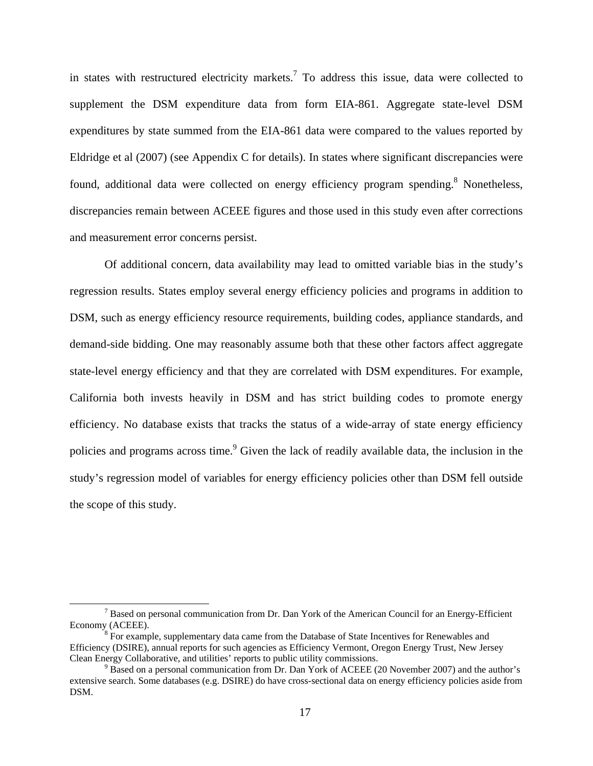in states with restructured electricity markets.<sup>7</sup> To address this issue, data were collected to supplement the DSM expenditure data from form EIA-861. Aggregate state-level DSM expenditures by state summed from the EIA-861 data were compared to the values reported by Eldridge et al (2007) (see Appendix C for details). In states where significant discrepancies were found, additional data were collected on energy efficiency program spending.<sup>8</sup> Nonetheless, discrepancies remain between ACEEE figures and those used in this study even after corrections and measurement error concerns persist.

Of additional concern, data availability may lead to omitted variable bias in the study's regression results. States employ several energy efficiency policies and programs in addition to DSM, such as energy efficiency resource requirements, building codes, appliance standards, and demand-side bidding. One may reasonably assume both that these other factors affect aggregate state-level energy efficiency and that they are correlated with DSM expenditures. For example, California both invests heavily in DSM and has strict building codes to promote energy efficiency. No database exists that tracks the status of a wide-array of state energy efficiency policies and programs across time.<sup>9</sup> Given the lack of readily available data, the inclusion in the study's regression model of variables for energy efficiency policies other than DSM fell outside the scope of this study.

<sup>&</sup>lt;sup>7</sup> Based on personal communication from Dr. Dan York of the American Council for an Energy-Efficient Economy (ACEEE).<br><sup>8</sup> For example, supplementary data came from the Database of State Incentives for Renewables and

Efficiency (DSIRE), annual reports for such agencies as Efficiency Vermont, Oregon Energy Trust, New Jersey Clean Energy Collaborative, and utilities' reports to public utility commissions. Clean Energy Collaborative, and utilities' reports to public utility commissions.<br><sup>9</sup> Based on a personal communication from Dr. Dan York of ACEEE (20 November 2007) and the author's

extensive search. Some databases (e.g. DSIRE) do have cross-sectional data on energy efficiency policies aside from DSM.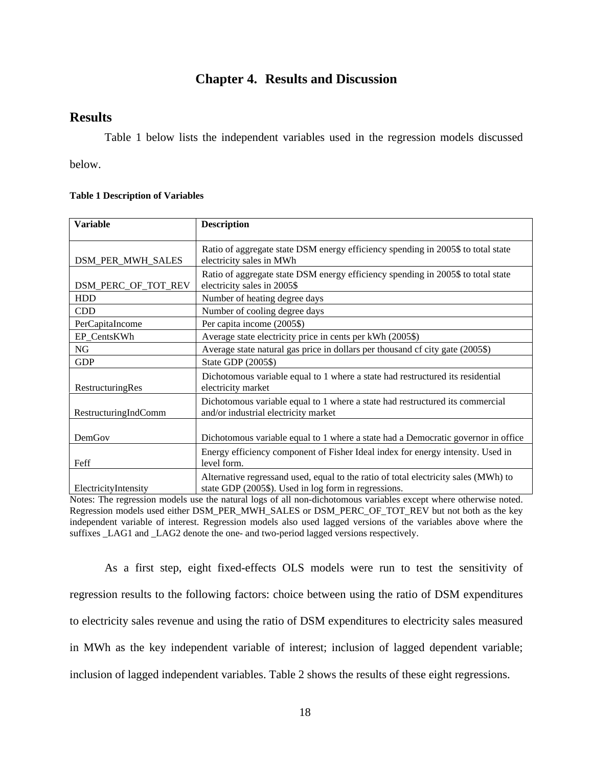## **Chapter 4. Results and Discussion**

## **Results**

Table 1 below lists the independent variables used in the regression models discussed

below.

#### **Table 1 Description of Variables**

| <b>Variable</b>                                 | <b>Description</b>                                                                                                                          |
|-------------------------------------------------|---------------------------------------------------------------------------------------------------------------------------------------------|
| <b>DSM_PER_MWH_SALES</b>                        | Ratio of aggregate state DSM energy efficiency spending in 2005\$ to total state<br>electricity sales in MWh                                |
| DSM_PERC_OF_TOT_REV electricity sales in 2005\$ | Ratio of aggregate state DSM energy efficiency spending in 2005\$ to total state                                                            |
| HDD                                             | Number of heating degree days                                                                                                               |
| CDD                                             | Number of cooling degree days                                                                                                               |
| PerCapitaIncome                                 | Per capita income (2005\$)                                                                                                                  |
| EP CentsKWh                                     | Average state electricity price in cents per kWh (2005\$)                                                                                   |
| NG                                              | Average state natural gas price in dollars per thousand cf city gate (2005\$)                                                               |
| <b>GDP</b>                                      | State GDP $(2005\$                                                                                                                          |
| RestructuringRes                                | Dichotomous variable equal to 1 where a state had restructured its residential<br>electricity market                                        |
| RestructuringIndComm                            | Dichotomous variable equal to 1 where a state had restructured its commercial<br>and/or industrial electricity market                       |
| DemGov                                          | Dichotomous variable equal to 1 where a state had a Democratic governor in office                                                           |
| Feff                                            | Energy efficiency component of Fisher Ideal index for energy intensity. Used in<br>level form.                                              |
| ElectricityIntensity                            | Alternative regressand used, equal to the ratio of total electricity sales (MWh) to<br>state GDP (2005\$). Used in log form in regressions. |

Notes: The regression models use the natural logs of all non-dichotomous variables except where otherwise noted. Regression models used either DSM\_PER\_MWH\_SALES or DSM\_PERC\_OF\_TOT\_REV but not both as the key independent variable of interest. Regression models also used lagged versions of the variables above where the suffixes LAG1 and LAG2 denote the one- and two-period lagged versions respectively.

As a first step, eight fixed-effects OLS models were run to test the sensitivity of regression results to the following factors: choice between using the ratio of DSM expenditures to electricity sales revenue and using the ratio of DSM expenditures to electricity sales measured in MWh as the key independent variable of interest; inclusion of lagged dependent variable; inclusion of lagged independent variables. Table 2 shows the results of these eight regressions.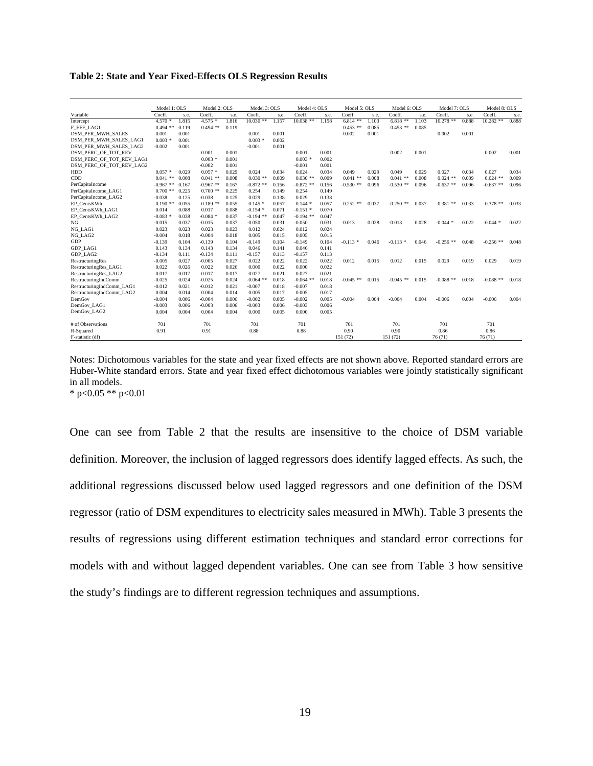**Table 2: State and Year Fixed-Effects OLS Regression Results**

|                                                      |                  |                           |                                       | Model 1: OLS Model 2: OLS Model 3: OLS Model 4: OLS Model 5: OLS Model 6: OLS Model 7: OLS Model 8: OLS                                                         |                   |                 |       |                                       |             |       |                   |        |             |
|------------------------------------------------------|------------------|---------------------------|---------------------------------------|-----------------------------------------------------------------------------------------------------------------------------------------------------------------|-------------------|-----------------|-------|---------------------------------------|-------------|-------|-------------------|--------|-------------|
| Variable                                             |                  |                           |                                       | Coeff. s.e. Coeff. s.e. Coeff. s.e. Coeff. s.e. Coeff. s.e. Coeff. s.e. Coeff. s.e. Coeff. s.e. Coeff.                                                          |                   |                 |       |                                       |             |       |                   |        |             |
| Intercept                                            |                  |                           | $0.494$ ** $0.119$ $0.494$ ** $0.119$ | 4.570 * 1.815 4.575 * 1.816 10.030 ** 1.157 10.038 ** 1.158 6.814 ** 1.103 6.818 ** 1.103 10.278 ** 0.888 10.282 ** 0.888                                       |                   |                 |       | $0.453$ ** $0.085$ $0.453$ ** $0.085$ |             |       |                   |        |             |
| F_EFF_LAG1<br><b>DSM PER MWH SALES</b>               | 0.001 0.001      |                           |                                       | 0.001 0.001                                                                                                                                                     |                   |                 |       | 0.002 0.001                           |             |       | 0.002 0.001       |        |             |
| DSM_PER_MWH_SALES LAG1                               |                  | $0.003 * 0.001$           |                                       | $0.003 * 0.002$                                                                                                                                                 |                   |                 |       |                                       |             |       |                   |        |             |
|                                                      | $-0.002$ $0.001$ |                           |                                       | $-0.001$ 0.001                                                                                                                                                  |                   |                 |       |                                       |             |       |                   |        |             |
| DSM_PER_MWH_SALES_LAG2                               |                  |                           | 0.001 0.001                           |                                                                                                                                                                 |                   | 0.001 0.001     |       |                                       | 0.002 0.001 |       |                   |        | 0.002 0.001 |
| DSM_PERC_OF_TOT_REV                                  |                  |                           | $0.003 * 0.001$                       |                                                                                                                                                                 |                   | $0.003 * 0.002$ |       |                                       |             |       |                   |        |             |
| DSM_PERC_OF_TOT_REV_LAG1<br>DSM_PERC_OF_TOT_REV_LAG2 |                  |                           |                                       |                                                                                                                                                                 |                   |                 |       |                                       |             |       |                   |        |             |
|                                                      |                  |                           | $-0.002$ 0.001                        |                                                                                                                                                                 |                   | $-0.001$ 0.001  |       |                                       |             |       |                   |        |             |
| <b>HDD</b>                                           |                  |                           | $0.057 * 0.029 0.057 * 0.029$         | $-0.024$                                                                                                                                                        | 0.034 0.024 0.034 |                 |       | 0.049 0.029 0.049 0.029               |             | 0.027 | 0.034 0.027 0.034 |        |             |
| CDD                                                  |                  |                           |                                       | $0.041$ ** $0.008$ $0.041$ ** $0.008$ $0.030$ ** $0.009$ $0.030$ ** $0.009$ $0.041$ ** $0.008$ $0.041$ ** $0.008$ $0.024$ ** $0.009$ $0.024$ ** $0.009$         |                   |                 |       |                                       |             |       |                   |        |             |
| PerCapitaIncome                                      |                  |                           |                                       | $-0.967$ ** $0.167$ $-0.967$ ** $0.167$ $-0.872$ ** $0.156$ $-0.872$ ** $0.156$ $-0.530$ ** $0.096$ $-0.530$ ** $0.096$ $-0.637$ ** $0.096$ $-0.637$ ** $0.096$ |                   |                 |       |                                       |             |       |                   |        |             |
| PerCapitaIncome_LAG1                                 |                  |                           |                                       | $0.700$ ** $0.225$ $0.700$ ** $0.225$ $0.254$ $0.149$ $0.254$ $0.149$                                                                                           |                   |                 |       |                                       |             |       |                   |        |             |
| PerCapitaIncome_LAG2                                 |                  |                           |                                       | $-0.038$ $0.125$ $-0.038$ $0.125$ $0.029$ $0.138$ $0.029$ $0.138$                                                                                               |                   |                 |       |                                       |             |       |                   |        |             |
| EP_CentsKWh                                          |                  |                           |                                       | $-0.190**$ $0.055$ $-0.189**$ $0.055$ $-0.145**$ $0.057$ $-0.144*$ $0.057$ $-0.252**$ $0.037$ $-0.250**$ $0.037$ $-0.381**$ $0.033$ $-0.378**$ $0.033$          |                   |                 |       |                                       |             |       |                   |        |             |
| EP_CentsKWh_LAG1                                     |                  |                           |                                       | $0.014$ $0.088$ $0.017$ $0.088$ $-0.154$ $*$ $0.071$ $-0.151$ $*$ $0.070$                                                                                       |                   |                 |       |                                       |             |       |                   |        |             |
| EP_CentsKWh_LAG2                                     |                  |                           |                                       | $-0.083 * 0.038 -0.084 * 0.037 -0.194 ** 0.047 -0.194 ** 0.047$                                                                                                 |                   |                 |       |                                       |             |       |                   |        |             |
| NG                                                   |                  |                           |                                       | $-0.015$ $0.037$ $-0.015$ $0.037$ $-0.050$ $0.031$ $-0.050$ $0.031$ $-0.013$ $0.028$ $-0.013$ $0.028$ $-0.044$ $*$ $0.022$ $-0.044$ $*$ $0.022$                 |                   |                 |       |                                       |             |       |                   |        |             |
| NG LAG1                                              |                  |                           |                                       | $0.023$ $0.023$ $0.023$ $0.023$ $0.012$ $0.024$ $0.012$ $0.024$                                                                                                 |                   |                 |       |                                       |             |       |                   |        |             |
| NG LAG2                                              |                  |                           |                                       | $-0.004$ $0.018$ $-0.004$ $0.018$ $0.005$ $0.015$ $0.005$ $0.015$                                                                                               |                   |                 |       |                                       |             |       |                   |        |             |
| GDP                                                  |                  |                           |                                       | $-0.139$ $0.104$ $-0.139$ $0.104$ $-0.149$ $0.104$ $-0.149$ $0.104$ $-0.113$ $0.046$ $-0.113$ $0.046$ $-0.256$ $0.048$ $-0.256$ $0.048$                         |                   |                 |       |                                       |             |       |                   |        |             |
| GDP_LAG1                                             |                  |                           |                                       | 0.143 0.134 0.143 0.134 0.046 0.141 0.046 0.141                                                                                                                 |                   |                 |       |                                       |             |       |                   |        |             |
| GDP_LAG2                                             |                  |                           |                                       | $-0.134$ $0.111$ $-0.134$ $0.111$ $-0.157$ $0.113$ $-0.157$ $0.113$                                                                                             |                   |                 |       |                                       |             |       |                   |        |             |
| RestructuringRes                                     |                  | $-0.005$ $0.027$ $-0.005$ |                                       | $0.027$ $0.022$ $0.022$ $0.022$ $0.022$ $0.012$ $0.015$ $0.012$ $0.015$ $0.029$ $0.019$ $0.029$ $0.019$                                                         |                   |                 |       |                                       |             |       |                   |        |             |
| RestructuringRes_LAG1                                |                  |                           |                                       | $0.022 \qquad 0.026 \qquad 0.022 \qquad 0.026 \qquad 0.000 \qquad 0.022 \qquad 0.000 \qquad 0.022$                                                              |                   |                 |       |                                       |             |       |                   |        |             |
| RestructuringRes_LAG2                                |                  |                           |                                       | $-0.017$ $0.017$ $-0.017$ $0.017$ $-0.027$ $0.021$ $-0.027$ $0.021$                                                                                             |                   |                 |       |                                       |             |       |                   |        |             |
| RestructuringIndComm                                 |                  |                           |                                       | $-0.025$ $0.024$ $-0.025$ $0.024$ $-0.064$ ** $0.018$ $-0.064$ ** $0.018$ $-0.045$ ** $0.015$ $-0.045$ ** $0.015$ $-0.088$ ** $0.018$ $-0.088$ ** $0.018$       |                   |                 |       |                                       |             |       |                   |        |             |
| RestructuringIndComm_LAG1                            |                  |                           |                                       | $-0.012 \qquad 0.021 \qquad -0.012 \qquad \quad 0.021 \qquad \quad -0.007 \qquad \quad 0.018 \qquad \quad -0.007 \qquad \quad 0.018$                            |                   |                 |       |                                       |             |       |                   |        |             |
| RestructuringIndComm_LAG2                            |                  | $0.004$ $0.014$ $0.004$   |                                       | 0.014 0.005 0.017 0.005                                                                                                                                         |                   |                 | 0.017 |                                       |             |       |                   |        |             |
| DemGov                                               |                  | $-0.004$ $0.006$ $-0.004$ |                                       | $0.006$ $-0.002$ $0.005$ $-0.002$ $0.005$ $-0.004$ $0.004$ $-0.004$ $0.004$ $-0.006$ $0.004$ $-0.006$ $0.004$                                                   |                   |                 |       |                                       |             |       |                   |        |             |
| DemGov_LAG1                                          |                  |                           |                                       | $-0.003$ $0.006$ $-0.003$ $0.006$ $-0.003$ $0.006$ $-0.003$ $0.006$                                                                                             |                   |                 |       |                                       |             |       |                   |        |             |
| DemGov_LAG2                                          |                  |                           |                                       | $0.004$ $0.004$ $0.004$ $0.004$ $0.000$ $0.005$ $0.000$ $0.005$                                                                                                 |                   |                 |       |                                       |             |       |                   |        |             |
|                                                      |                  |                           |                                       |                                                                                                                                                                 |                   |                 |       |                                       |             |       |                   |        |             |
| # of Observations                                    | 701              |                           | 701                                   | 701                                                                                                                                                             |                   | 701             |       | 701                                   | 701         | 701   |                   | 701    |             |
| R-Squared                                            | 0.91             |                           | 0.91                                  | 0.88                                                                                                                                                            |                   | 0.88            |       | 0.90                                  | 0.90        | 0.86  |                   | 0.86   |             |
| F-statistic (df)                                     |                  |                           |                                       | $151 (72)$ $151 (72)$ $76 (71)$                                                                                                                                 |                   |                 |       |                                       |             |       |                   | 76(71) |             |
|                                                      |                  |                           |                                       |                                                                                                                                                                 |                   |                 |       |                                       |             |       |                   |        |             |

Notes: Dichotomous variables for the state and year fixed effects are not shown above. Reported standard errors are Huber-White standard errors. State and year fixed effect dichotomous variables were jointly statistically significant in all models.  $*$  p<0.05  $**$  p<0.01

One can see from Table 2 that the results are insensitive to the choice of DSM variable definition. Moreover, the inclusion of lagged regressors does identify lagged effects. As such, the additional regressions discussed below used lagged regressors and one definition of the DSM regressor (ratio of DSM expenditures to electricity sales measured in MWh). Table 3 presents the results of regressions using different estimation techniques and standard error corrections for models with and without lagged dependent variables. One can see from Table 3 how sensitive the study's findings are to different regression techniques and assumptions.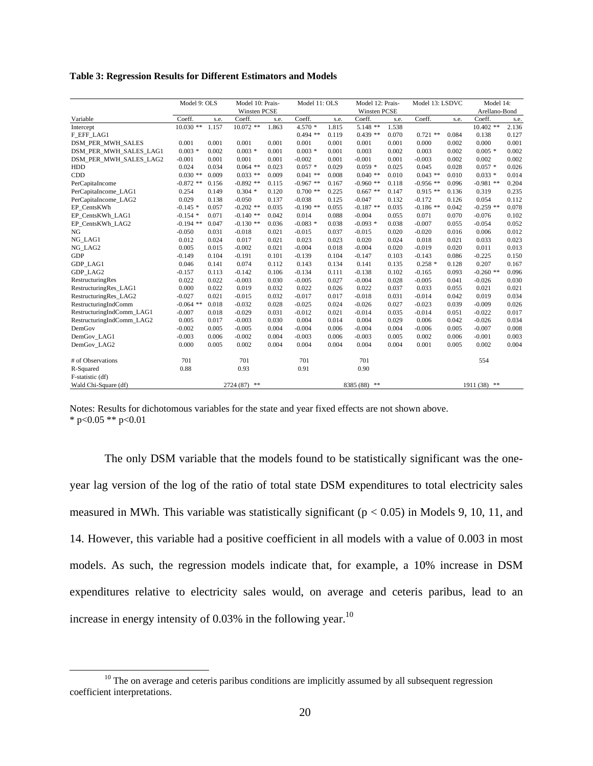**Table 3: Regression Results for Different Estimators and Models**

|                           | Model 9: OLS              | Model 10: Prais-                  | Model 11: OLS       |                                                                              | Model 12: Prais- Model 13: LSDVC                            | Model 14:                               |       |
|---------------------------|---------------------------|-----------------------------------|---------------------|------------------------------------------------------------------------------|-------------------------------------------------------------|-----------------------------------------|-------|
|                           |                           | Winsten PCSE                      |                     | Winsten PCSE                                                                 |                                                             | Arellano-Bond                           |       |
| Variable                  |                           |                                   |                     | Coeff. s.e. Coeff. s.e. Coeff. s.e. Coeff. s.e. Coeff. s.e. Coeff. s.e.      |                                                             |                                         |       |
| Intercept                 |                           |                                   |                     | $10.030$ ** $1.157$ $10.072$ ** $1.863$ $4.570$ * $1.815$ $5.148$ ** $1.538$ |                                                             | $10.402$ ** 2.136                       |       |
| F_EFF_LAG1                |                           |                                   |                     | $0.494$ ** $0.119$ $0.439$ ** $0.070$ $0.721$ ** $0.084$ $0.138$ $0.127$     |                                                             |                                         |       |
| DSM_PER_MWH_SALES         | 0.001 0.001 0.001         | 0.001                             | 0.001<br>0.001      | 0.001<br>0.001                                                               | 0.000                                                       | 0.002 0.000 0.001                       |       |
| DSM_PER_MWH_SALES_LAG1    | $0.003 * 0.002$           | $0.003*$<br>0.001                 | $0.003$ *<br>0.001  | 0.002<br>0.003                                                               | 0.003<br>0.002                                              | $0.005$ *                               | 0.002 |
| DSM PER MWH SALES LAG2    | $-0.001$ $0.001$          | 0.001<br>0.001                    | $-0.002$            | $0.001 - 0.001$<br>0.001                                                     | $-0.003$<br>0.002                                           | 0.002                                   | 0.002 |
| HDD                       | $0.024$ 0.034             | $0.064$ ** $0.023$                | $0.057$ *<br>0.029  | $0.059 * 0.025$                                                              | 0.045                                                       | $0.028$ $0.057*$ 0.026                  |       |
| CDD                       | $0.030$ ** $0.009$        | $0.033$ ** $0.009$                | $0.041$ ** $0.008$  | $0.040$ ** $0.010$                                                           | $0.043$ ** $0.010$                                          | $0.033 * 0.014$                         |       |
| PerCapitaIncome           | $-0.872$ ** $0.156$       | $-0.892**$ 0.115 $-0.967**$ 0.167 |                     |                                                                              | $-0.960$ ** $0.118$ $-0.956$ ** $0.096$ $-0.981$ ** $0.204$ |                                         |       |
| PerCapitaIncome_LAG1      | 0.254 0.149               | $0.304 * 0.120 0.700 ** 0.225$    |                     | $0.667$ ** $0.147$                                                           | $0.915$ ** $0.136$ 0.319                                    |                                         | 0.235 |
| PerCapitaIncome_LAG2      | 0.029 0.138               | $-0.050$<br>0.137                 | 0.125<br>$-0.038$   | $-0.047$<br>0.132                                                            | $-0.172$<br>0.126                                           | 0.054                                   | 0.112 |
| EP CentsKWh               | $-0.145*0.057$            | $-0.202$ ** 0.035                 | $-0.190**$ 0.055    | $-0.187$ ** $0.035$                                                          |                                                             | $-0.186$ ** $0.042$ $-0.259$ ** $0.078$ |       |
| EP_CentsKWh_LAG1          |                           | $-0.154 * 0.071 -0.140 ** 0.042$  | 0.014<br>0.088      | 0.055<br>$-0.004$                                                            | 0.071                                                       | $0.070 -0.076$                          | 0.102 |
| EP_CentsKWh_LAG2          | $-0.194$ ** $0.047$       | $-0.130$ ** 0.036                 | $-0.083$ *<br>0.038 | 0.038<br>$-0.093$ *                                                          | $-0.007$<br>0.055                                           | $-0.054$                                | 0.052 |
| NG                        | $-0.050$ $0.031$ $-0.018$ | 0.021                             | 0.037<br>$-0.015$   | 0.020<br>$-0.015$                                                            | $-0.020$                                                    | $0.016$ 0.006                           | 0.012 |
| NG_LAG1                   | $0.012$ 0.024             | 0.017<br>0.021                    | 0.023<br>0.023      | 0.024<br>0.020                                                               | 0.018  0.021  0.033                                         |                                         | 0.023 |
| NG_LAG2                   | $0.005$ $0.015$           | $-0.002$<br>0.021                 | $-0.004$<br>0.018   | $-0.004$<br>0.020                                                            | $-0.019$<br>0.020                                           | 0.011                                   | 0.013 |
| GDP                       | $-0.149$ $0.104$          | $-0.191$<br>0.101                 | $-0.139$<br>0.104   | $-0.147$<br>0.103                                                            | $-0.143$ $0.086$ $-0.225$                                   |                                         | 0.150 |
| GDP_LAG1                  | $0.046$ $0.141$           | 0.074<br>0.112                    | 0.143               | 0.135<br>$0.134$ $0.141$                                                     | $0.258 * 0.128 0.207$                                       |                                         | 0.167 |
| GDP_LAG2                  | $-0.157$ $0.113$ $-0.142$ |                                   | $0.106 -0.134$      | $0.111 -0.138$ $0.102$                                                       | $-0.165$                                                    | $0.093 -0.260$ ** $0.096$               |       |
| RestructuringRes          | $0.022$ 0.022             | $-0.003$<br>0.030                 | 0.027<br>$-0.005$   | $-0.004$<br>0.028                                                            | $-0.005$                                                    | $0.041 - 0.026$                         | 0.030 |
| RestructuringRes_LAG1     | 0.000 0.022               | 0.019<br>0.032                    | 0.022               | $0.026$ $0.022$<br>0.037                                                     | 0.033<br>0.055                                              | 0.021                                   | 0.021 |
| RestructuringRes_LAG2     | $-0.027$ 0.021            | $-0.015$<br>0.032                 | $-0.017$<br>0.017   | 0.031<br>-0.018                                                              | $-0.014$<br>0.042                                           | 0.019                                   | 0.034 |
| RestructuringIndComm      | $-0.064$ ** 0.018         | $-0.032$<br>0.028                 | $-0.025$<br>0.024   | 0.027<br>$-0.026$                                                            | $-0.023$<br>0.039                                           | $-0.009$                                | 0.026 |
| RestructuringIndComm_LAG1 | $-0.007$ 0.018            | $-0.029$<br>0.031                 | $-0.012$<br>0.021   | $-0.014$<br>0.035                                                            | $-0.014$                                                    | $0.051 - 0.022$                         | 0.017 |
| RestructuringIndComm_LAG2 | 0.005 0.017               | $-0.003$<br>0.030                 | 0.004<br>0.014      | 0.029<br>0.004                                                               | 0.006<br>0.042                                              | $-0.026$                                | 0.034 |
| DemGov                    | $-0.002$ 0.005            | $-0.005$<br>0.004                 | -0.004              | 0.004<br>$0.006 - 0.004$                                                     | $-0.006$                                                    | $0.005 -0.007$                          | 0.008 |
| DemGov_LAG1               | $-0.003$ 0.006            | $-0.002$<br>0.004                 | $-0.003$            | 0.005<br>$0.006 - 0.003$                                                     | 0.002                                                       | $0.006 - 0.001$                         | 0.003 |
| DemGov_LAG2               | 0.0000000005              | 0.002<br>0.004                    | 0.004               | $0.004$ $0.004$ $0.004$ $0.001$                                              |                                                             | $0.005$ $0.002$                         | 0.004 |
|                           |                           |                                   |                     |                                                                              |                                                             |                                         |       |
| # of Observations         | 701                       | 701                               | 701                 | 701                                                                          |                                                             | 554                                     |       |
| R-Squared                 | 0.88                      | 0.93                              | 0.91                | 0.90                                                                         |                                                             |                                         |       |
| F-statistic (df)          |                           |                                   |                     |                                                                              |                                                             |                                         |       |
| Wald Chi-Square (df)      |                           | $2724(87)$ **                     |                     | 8385 (88) **                                                                 |                                                             | $1911(38)$ **                           |       |
|                           |                           |                                   |                     |                                                                              |                                                             |                                         |       |

Notes: Results for dichotomous variables for the state and year fixed effects are not shown above.  $*$  p<0.05  $**$  p<0.01

The only DSM variable that the models found to be statistically significant was the one year lag version of the log of the ratio of total state DSM expenditures to total electricity sales measured in MWh. This variable was statistically significant ( $p < 0.05$ ) in Models 9, 10, 11, and 14. However, this variable had a positive coefficient in all models with a value of 0.003 in most models. As such, the regression models indicate that, for example, a 10% increase in DSM expenditures relative to electricity sales would, on average and ceteris paribus, lead to an increase in energy intensity of  $0.03\%$  in the following year.<sup>10</sup>

 $10$  The on average and ceteris paribus conditions are implicitly assumed by all subsequent regression coefficient interpretations.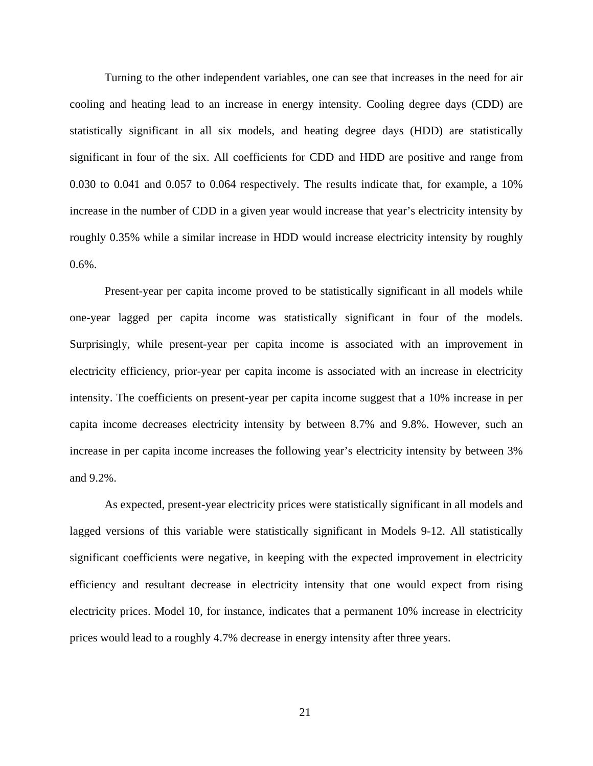Turning to the other independent variables, one can see that increases in the need for air cooling and heating lead to an increase in energy intensity. Cooling degree days (CDD) are statistically significant in all six models, and heating degree days (HDD) are statistically significant in four of the six. All coefficients for CDD and HDD are positive and range from 0.030 to 0.041 and 0.057 to 0.064 respectively. The results indicate that, for example, a 10% increase in the number of CDD in a given year would increase that year's electricity intensity by roughly 0.35% while a similar increase in HDD would increase electricity intensity by roughly  $0.6\%$ .

Present-year per capita income proved to be statistically significant in all models while one-year lagged per capita income was statistically significant in four of the models. Surprisingly, while present-year per capita income is associated with an improvement in electricity efficiency, prior-year per capita income is associated with an increase in electricity intensity. The coefficients on present-year per capita income suggest that a 10% increase in per capita income decreases electricity intensity by between 8.7% and 9.8%. However, such an increase in per capita income increases the following year's electricity intensity by between 3% and 9.2%.

As expected, present-year electricity prices were statistically significant in all models and lagged versions of this variable were statistically significant in Models 9-12. All statistically significant coefficients were negative, in keeping with the expected improvement in electricity efficiency and resultant decrease in electricity intensity that one would expect from rising electricity prices. Model 10, for instance, indicates that a permanent 10% increase in electricity prices would lead to a roughly 4.7% decrease in energy intensity after three years.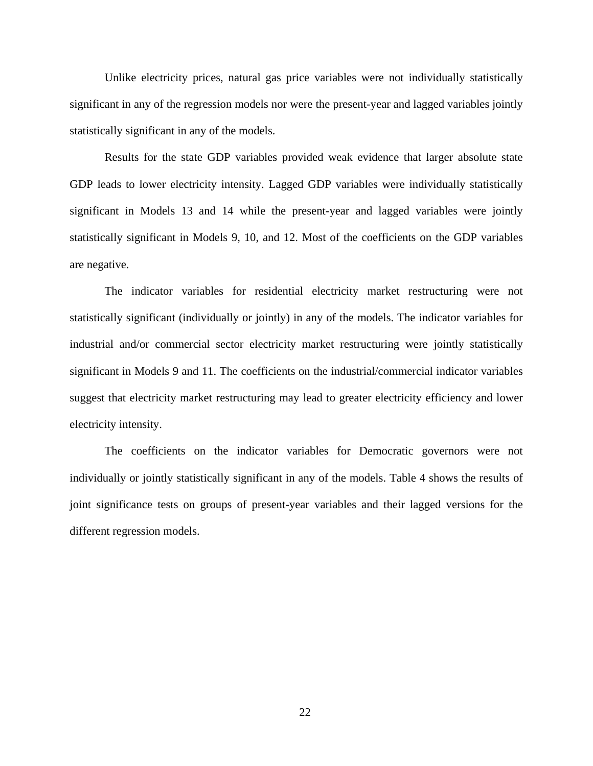Unlike electricity prices, natural gas price variables were not individually statistically significant in any of the regression models nor were the present-year and lagged variables jointly statistically significant in any of the models.

Results for the state GDP variables provided weak evidence that larger absolute state GDP leads to lower electricity intensity. Lagged GDP variables were individually statistically significant in Models 13 and 14 while the present-year and lagged variables were jointly statistically significant in Models 9, 10, and 12. Most of the coefficients on the GDP variables are negative.

The indicator variables for residential electricity market restructuring were not statistically significant (individually or jointly) in any of the models. The indicator variables for industrial and/or commercial sector electricity market restructuring were jointly statistically significant in Models 9 and 11. The coefficients on the industrial/commercial indicator variables suggest that electricity market restructuring may lead to greater electricity efficiency and lower electricity intensity.

The coefficients on the indicator variables for Democratic governors were not individually or jointly statistically significant in any of the models. Table 4 shows the results of joint significance tests on groups of present-year variables and their lagged versions for the different regression models.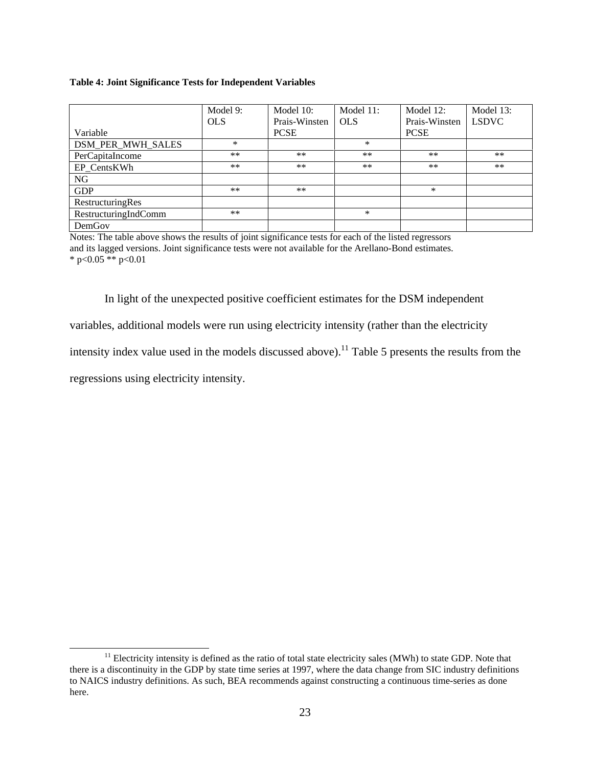#### **Table 4: Joint Significance Tests for Independent Variables**

|                                                     | Model 9:   | Model 10:           | Model 11: | Model 12:             | Model 13: |
|-----------------------------------------------------|------------|---------------------|-----------|-----------------------|-----------|
|                                                     | <b>OLS</b> | Prais-Winsten   OLS |           | Prais-Winsten   LSDVC |           |
| Variable                                            |            | <b>PCSE</b>         |           | <b>PCSE</b>           |           |
|                                                     |            |                     |           |                       |           |
|                                                     | **         | $***$               | **        | **                    | $***$     |
| DSM_PER_MWH_SALES<br>PerCapitaIncome<br>EP_CentsKWh | $**$       | **                  | **        | **                    | $**$      |
| NG                                                  |            |                     |           |                       |           |
| <b>GDP</b>                                          | **         | **                  |           |                       |           |
|                                                     |            |                     |           |                       |           |
| RestructuringRes<br>RestructuringIndComm            | **         |                     |           |                       |           |
| DemGov                                              |            |                     |           |                       |           |

Notes: The table above shows the results of joint significance tests for each of the listed regressors and its lagged versions. Joint significance tests were not available for the Arellano-Bond estimates.  $*$  p<0.05  $**$  p<0.01

In light of the unexpected positive coefficient estimates for the DSM independent

variables, additional models were run using electricity intensity (rather than the electricity

intensity index value used in the models discussed above).<sup>11</sup> Table 5 presents the results from the

regressions using electricity intensity.

<sup>&</sup>lt;sup>11</sup> Electricity intensity is defined as the ratio of total state electricity sales (MWh) to state GDP. Note that there is a discontinuity in the GDP by state time series at 1997, where the data change from SIC industry definitions to NAICS industry definitions. As such, BEA recommends against constructing a continuous time-series as done here.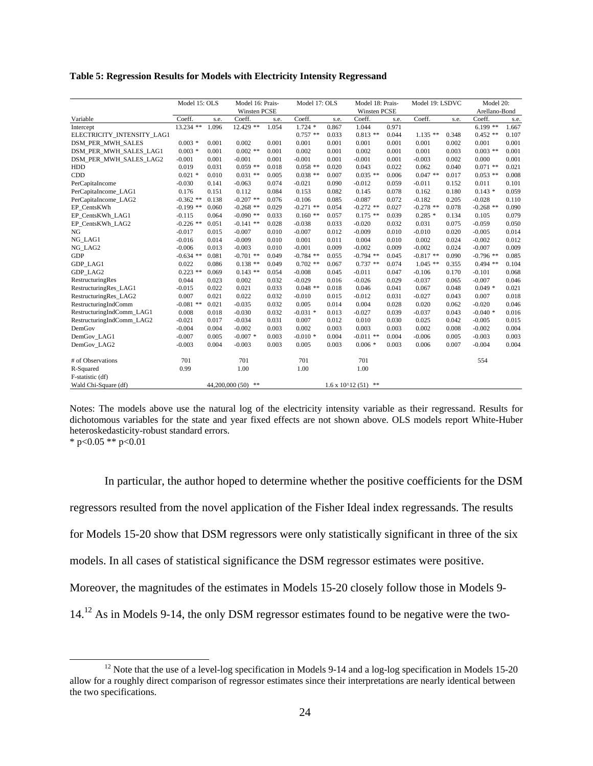**Table 5: Regression Results for Models with Electricity Intensity Regressand**

|                                       | Model 15: OLS Model 16: Prais-                                          |                     |       | Model 17: OLS                    |           | Model 18: Prais-   |                                                             | Model 19: LSDVC    |                   | Model 20:                               |
|---------------------------------------|-------------------------------------------------------------------------|---------------------|-------|----------------------------------|-----------|--------------------|-------------------------------------------------------------|--------------------|-------------------|-----------------------------------------|
|                                       |                                                                         | Winsten PCSE        |       |                                  |           | Winsten PCSE       |                                                             |                    |                   | Arellano-Bond                           |
| Variable                              | Coeff. s.e. Coeff. s.e. Coeff. s.e. Coeff. s.e. Coeff. s.e. Coeff. s.e. |                     |       |                                  |           |                    |                                                             |                    |                   |                                         |
| Intercept                             | 13.234 ** 1.096 12.429 ** 1.054 1.724 * 0.867 1.044 0.971               |                     |       |                                  |           |                    |                                                             |                    |                   | $6.199**$ 1.667                         |
| ELECTRICITY_INTENSITY_LAG1            |                                                                         |                     |       | $0.757$ ** $0.033$               |           | $0.813$ ** $0.044$ |                                                             |                    |                   | $1.135$ ** $0.348$ $0.452$ ** $0.107$   |
| DSM_PER_MWH_SALES                     | $0.003 * 0.001 0.002$                                                   |                     | 0.001 | 0.001<br>0.001                   | 0.001     | 0.001              | 0.001                                                       | 0.002              | 0.001             | 0.001                                   |
| DSM_PER_MWH_SALES_LAG1                | $0.003 * 0.001 0.002 ** 0.001$                                          |                     |       | 0.002<br>0.001                   | 0.002     | 0.001              | 0.001                                                       | 0.003              |                   | $0.003$ ** $0.001$                      |
| DSM_PER_MWH_SALES_LAG2                | $-0.001$                                                                | $0.001 - 0.001$     | 0.001 | $-0.001$<br>0.001                | $-0.001$  | 0.001              | $-0.003$                                                    | 0.002              | 0.000             | 0.001                                   |
| HDD                                   | 0.019 0.031                                                             | $0.059$ ** $0.018$  |       | $0.058$ ** $0.020$               | 0.043     | 0.022              | 0.062                                                       |                    |                   | $0.040$ $0.071$ ** $0.021$              |
| CDD                                   | $0.021 * 0.010$                                                         | $0.031$ ** $0.005$  |       | $0.038$ **<br>0.007              |           | $0.035$ ** $0.006$ |                                                             | $0.047$ ** $0.017$ |                   | $0.053$ ** $0.008$                      |
| PerCapitaIncome                       | $-0.030$ $0.141$                                                        | -0.063              | 0.074 | $-0.021$<br>0.090                | -0.012    | 0.059              | $-0.011$                                                    | 0.152              | 0.011             | 0.101                                   |
| PerCapitaIncome_LAG1                  | 0.176 0.151                                                             | 0.112               | 0.084 | 0.153<br>0.082                   | 0.145     | 0.078              | 0.162                                                       |                    | $0.180$ $0.143$ * | 0.059                                   |
| PerCapitaIncome_LAG2                  | $-0.362$ ** $0.138$ $-0.207$ ** $0.076$                                 |                     |       | 0.085<br>$-0.106$                | -0.087    | 0.072              | $-0.182$                                                    | 0.205              | $-0.028$          | 0.110                                   |
| EP_CentsKWh                           | $-0.199$ ** $0.060$                                                     | $-0.268$ ** 0.029   |       | $-0.271$ ** 0.054                |           | $-0.272$ ** 0.027  |                                                             |                    |                   | $-0.278$ ** $0.078$ $-0.268$ ** $0.090$ |
| EP_CentsKWh_LAG1                      | $-0.115$ 0.064                                                          | $-0.090$ ** 0.033   |       | 0.057<br>$0.160$ **              |           | $0.175$ ** $0.039$ | $0.285*$                                                    | 0.134              | 0.105             | 0.079                                   |
| EP_CentsKWh_LAG2                      | $-0.226$ ** $0.051$                                                     | $-0.141$ ** $0.028$ |       | $-0.038$<br>0.033                | -0.020    | 0.032              | 0.031                                                       | 0.075              | $-0.059$          | 0.050                                   |
| NG                                    | $-0.017$<br>0.015                                                       | $-0.007$            | 0.010 | $-0.007$<br>0.012                | -0.009    | 0.010              | $-0.010$                                                    | 0.020              | $-0.005$          | 0.014                                   |
| NG_LAG1                               | $-0.016$ 0.014                                                          | $-0.009$            | 0.010 | 0.001<br>0.011                   | 0.004     | 0.010              | 0.002                                                       | 0.024              | $-0.002$          | 0.012                                   |
| NG_LAG2                               | $-0.006$ 0.013                                                          | $-0.003$            | 0.010 | $-0.001$<br>0.009                | -0.002    | 0.009              | $-0.002$                                                    | 0.024              | $-0.007$          | 0.009                                   |
| GDP                                   | $-0.634$ ** $0.081$                                                     | $-0.701$ ** 0.049   |       | $-0.784$ ** 0.055                |           |                    | $-0.794$ ** $0.045$ $-0.817$ ** $0.090$ $-0.796$ ** $0.085$ |                    |                   |                                         |
| GDP_LAG1                              | 0.022 0.086                                                             | $0.138$ ** $0.049$  |       | $0.702$ **<br>0.067              |           | $0.737$ ** $0.074$ | $1.045$ **                                                  | 0.355              |                   | $0.494$ ** $0.104$                      |
| GDP_LAG2                              | $0.223$ ** $0.069$                                                      | $0.143$ **          | 0.054 | -0.008<br>0.045                  | -0.011    | 0.047              | -0.106                                                      |                    | $0.170 - 0.101$   | 0.068                                   |
| RestructuringRes                      | 0.044 0.023                                                             | 0.002               | 0.032 | $-0.029$<br>0.016                | -0.026    | 0.029              | $-0.037$                                                    | 0.065              | $-0.007$          | 0.046                                   |
| RestructuringRes_LAG1                 | $-0.015$<br>0.022                                                       | 0.021               |       | 0.018<br>$0.048$ **              | 0.046     | 0.041              | 0.067                                                       | 0.048              | $0.049*$          | 0.021                                   |
| RestructuringRes_LAG2                 | $0.007$ $0.021$                                                         | 0.022               | 0.032 | $-0.010$<br>0.015                | $-0.012$  | 0.031              | -0.027                                                      | 0.043              | 0.007             | 0.018                                   |
| RestructuringIndComm                  | $-0.081$ ** $0.021$                                                     | $-0.035$            | 0.032 | 0.005<br>0.014                   | 0.004     | 0.028              | 0.020                                                       | 0.062              | -0.020            | 0.046                                   |
| RestructuringIndComm_LAG1             | 0.008 0.018                                                             | -0.030              | 0.032 | 0.013<br>$-0.031$ *              | -0.027    | 0.039              | -0.037                                                      | 0.043              | $-0.040*$         | 0.016                                   |
| RestructuringIndComm_LAG2             | $-0.021$ 0.017                                                          | $-0.034$            | 0.031 | 0.007<br>0.012                   | 0.010     | 0.030              | 0.025                                                       | 0.042              | $-0.005$          | 0.015                                   |
| DemGov                                | $-0.004$ 0.004                                                          | $-0.002$            | 0.003 | 0.002<br>0.003                   | 0.003     | 0.003              | 0.002                                                       | 0.008              | $-0.002$          | 0.004                                   |
| DemGov_LAG1                           | $-0.007$ 0.005                                                          | $-0.007$ *          | 0.003 | $-0.010 * 0.004 -0.011 ** 0.004$ |           |                    | $-0.006$                                                    | 0.005              | $-0.003$          | 0.003                                   |
| DemGov_LAG2                           | $-0.003$ 0.004                                                          | $-0.003$            | 0.003 | 0.005<br>0.003                   | $0.006$ * | 0.003              | 0.006                                                       | 0.007              | $-0.004$          | 0.004                                   |
|                                       |                                                                         |                     |       |                                  |           |                    |                                                             |                    |                   |                                         |
| # of Observations                     | 701                                                                     | 701                 |       | 701                              | 701       |                    |                                                             |                    | 554               |                                         |
| R-Squared                             | 0.99                                                                    | 1.00                |       | 1.00                             | 1.00      |                    |                                                             |                    |                   |                                         |
| F-statistic (df)                      |                                                                         |                     |       |                                  |           |                    |                                                             |                    |                   |                                         |
| Wald Chi-Square (df)<br>$\frac{1}{2}$ |                                                                         | 44,200,000 (50) **  |       | $1.6 \times 10^{4}12(51)$ **     |           |                    |                                                             |                    |                   |                                         |

Notes: The models above use the natural log of the electricity intensity variable as their regressand. Results for dichotomous variables for the state and year fixed effects are not shown above. OLS models report White-Huber heteroskedasticity-robust standard errors.<br>\*  $p < 0.05$  \*\*  $p < 0.01$  $*$  p<0.05  $**$  p<0.01

In particular, the author hoped to determine whether the positive coefficients for the DSM regressors resulted from the novel application of the Fisher Ideal index regressands. The results for Models 15-20 show that DSM regressors were only statistically significant in three of the six models. In all cases of statistical significance the DSM regressor estimates were positive. Moreover, the magnitudes of the estimates in Models 15-20 closely follow those in Models 9- 14.12 As in Models 9-14, the only DSM regressor estimates found to be negative were the two-

<sup>&</sup>lt;sup>12</sup> Note that the use of a level-log specification in Models 9-14 and a log-log specification in Models 15-20 allow for a roughly direct comparison of regressor estimates since their interpretations are nearly identical between the two specifications.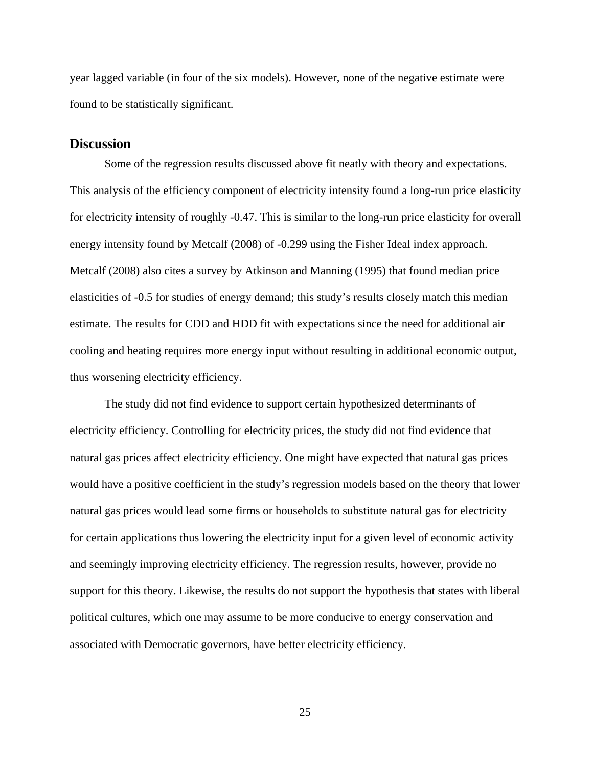year lagged variable (in four of the six models). However, none of the negative estimate were found to be statistically significant.

## **Discussion**

Some of the regression results discussed above fit neatly with theory and expectations. This analysis of the efficiency component of electricity intensity found a long-run price elasticity for electricity intensity of roughly -0.47. This is similar to the long-run price elasticity for overall energy intensity found by Metcalf (2008) of -0.299 using the Fisher Ideal index approach. Metcalf (2008) also cites a survey by Atkinson and Manning (1995) that found median price elasticities of -0.5 for studies of energy demand; this study's results closely match this median estimate. The results for CDD and HDD fit with expectations since the need for additional air cooling and heating requires more energy input without resulting in additional economic output, thus worsening electricity efficiency.

The study did not find evidence to support certain hypothesized determinants of electricity efficiency. Controlling for electricity prices, the study did not find evidence that natural gas prices affect electricity efficiency. One might have expected that natural gas prices would have a positive coefficient in the study's regression models based on the theory that lower natural gas prices would lead some firms or households to substitute natural gas for electricity for certain applications thus lowering the electricity input for a given level of economic activity and seemingly improving electricity efficiency. The regression results, however, provide no support for this theory. Likewise, the results do not support the hypothesis that states with liberal political cultures, which one may assume to be more conducive to energy conservation and associated with Democratic governors, have better electricity efficiency.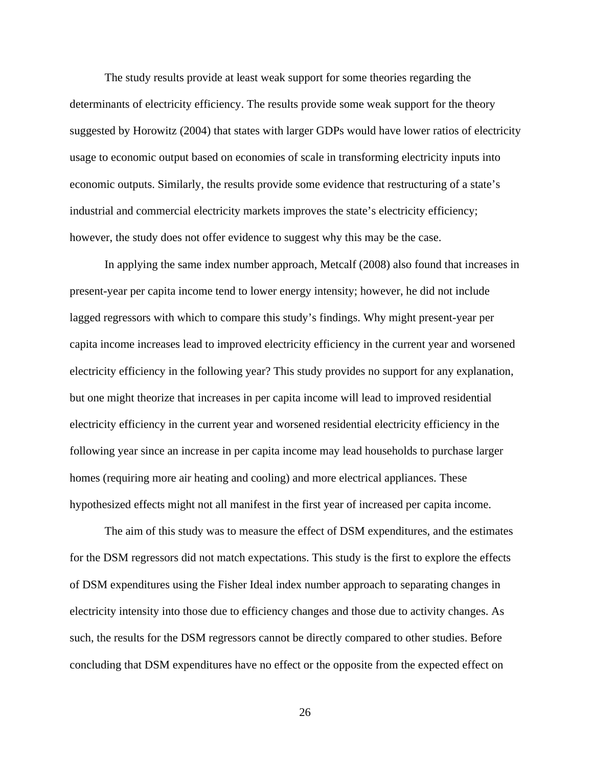The study results provide at least weak support for some theories regarding the determinants of electricity efficiency. The results provide some weak support for the theory suggested by Horowitz (2004) that states with larger GDPs would have lower ratios of electricity usage to economic output based on economies of scale in transforming electricity inputs into economic outputs. Similarly, the results provide some evidence that restructuring of a state's industrial and commercial electricity markets improves the state's electricity efficiency; however, the study does not offer evidence to suggest why this may be the case.

In applying the same index number approach, Metcalf (2008) also found that increases in present-year per capita income tend to lower energy intensity; however, he did not include lagged regressors with which to compare this study's findings. Why might present-year per capita income increases lead to improved electricity efficiency in the current year and worsened electricity efficiency in the following year? This study provides no support for any explanation, but one might theorize that increases in per capita income will lead to improved residential electricity efficiency in the current year and worsened residential electricity efficiency in the following year since an increase in per capita income may lead households to purchase larger homes (requiring more air heating and cooling) and more electrical appliances. These hypothesized effects might not all manifest in the first year of increased per capita income.

The aim of this study was to measure the effect of DSM expenditures, and the estimates for the DSM regressors did not match expectations. This study is the first to explore the effects of DSM expenditures using the Fisher Ideal index number approach to separating changes in electricity intensity into those due to efficiency changes and those due to activity changes. As such, the results for the DSM regressors cannot be directly compared to other studies. Before concluding that DSM expenditures have no effect or the opposite from the expected effect on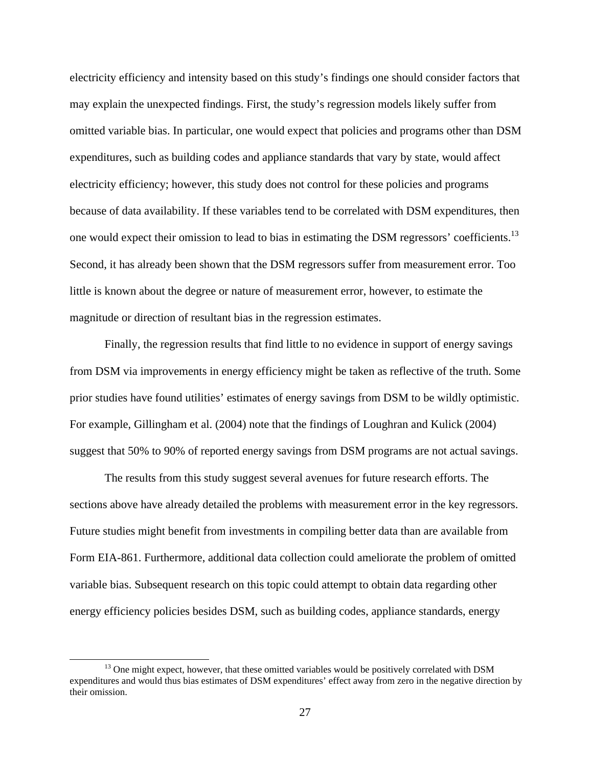electricity efficiency and intensity based on this study's findings one should consider factors that may explain the unexpected findings. First, the study's regression models likely suffer from omitted variable bias. In particular, one would expect that policies and programs other than DSM expenditures, such as building codes and appliance standards that vary by state, would affect electricity efficiency; however, this study does not control for these policies and programs because of data availability. If these variables tend to be correlated with DSM expenditures, then one would expect their omission to lead to bias in estimating the DSM regressors' coefficients.<sup>13</sup> Second, it has already been shown that the DSM regressors suffer from measurement error. Too little is known about the degree or nature of measurement error, however, to estimate the magnitude or direction of resultant bias in the regression estimates.

Finally, the regression results that find little to no evidence in support of energy savings from DSM via improvements in energy efficiency might be taken as reflective of the truth. Some prior studies have found utilities' estimates of energy savings from DSM to be wildly optimistic. For example, Gillingham et al. (2004) note that the findings of Loughran and Kulick (2004) suggest that 50% to 90% of reported energy savings from DSM programs are not actual savings.

The results from this study suggest several avenues for future research efforts. The sections above have already detailed the problems with measurement error in the key regressors. Future studies might benefit from investments in compiling better data than are available from Form EIA-861. Furthermore, additional data collection could ameliorate the problem of omitted variable bias. Subsequent research on this topic could attempt to obtain data regarding other energy efficiency policies besides DSM, such as building codes, appliance standards, energy

<sup>&</sup>lt;sup>13</sup> One might expect, however, that these omitted variables would be positively correlated with DSM expenditures and would thus bias estimates of DSM expenditures' effect away from zero in the negative direction by their omission.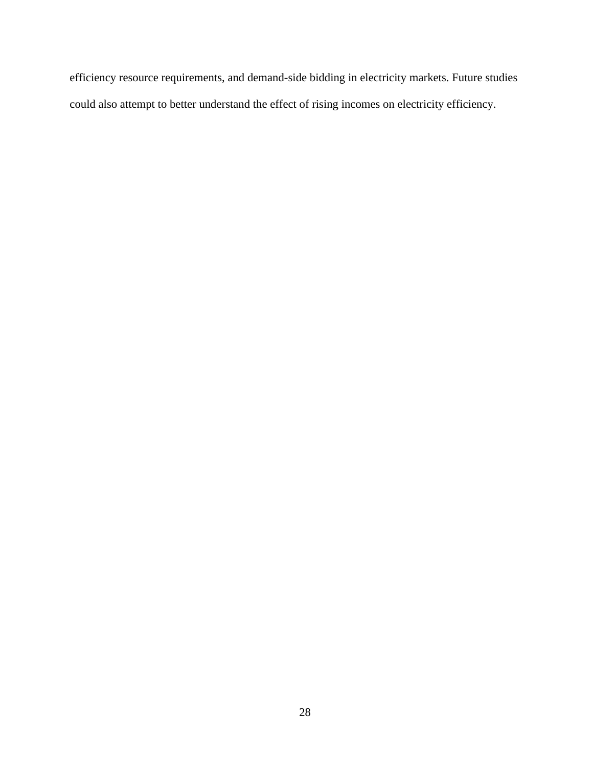efficiency resource requirements, and demand-side bidding in electricity markets. Future studies could also attempt to better understand the effect of rising incomes on electricity efficiency.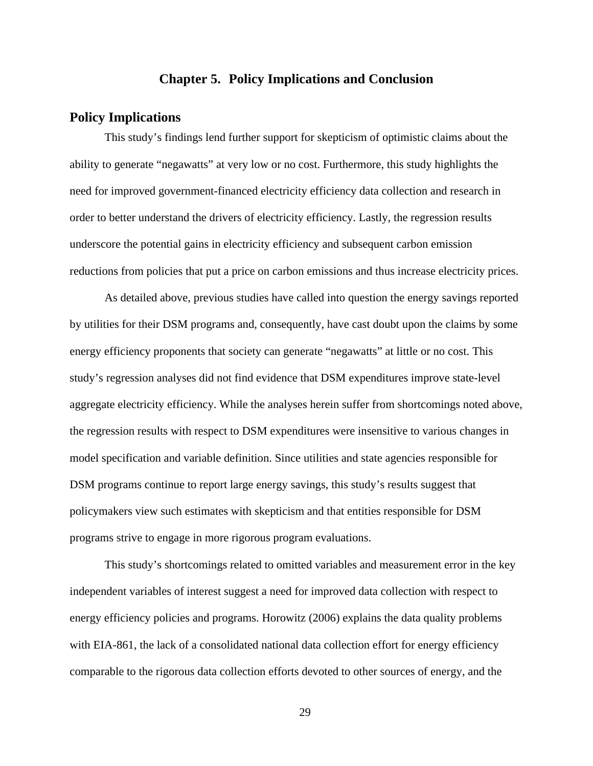### **Chapter 5. Policy Implications and Conclusion**

## **Policy Implications**

This study's findings lend further support for skepticism of optimistic claims about the ability to generate "negawatts" at very low or no cost. Furthermore, this study highlights the need for improved government-financed electricity efficiency data collection and research in order to better understand the drivers of electricity efficiency. Lastly, the regression results underscore the potential gains in electricity efficiency and subsequent carbon emission reductions from policies that put a price on carbon emissions and thus increase electricity prices.

As detailed above, previous studies have called into question the energy savings reported by utilities for their DSM programs and, consequently, have cast doubt upon the claims by some energy efficiency proponents that society can generate "negawatts" at little or no cost. This study's regression analyses did not find evidence that DSM expenditures improve state-level aggregate electricity efficiency. While the analyses herein suffer from shortcomings noted above, the regression results with respect to DSM expenditures were insensitive to various changes in model specification and variable definition. Since utilities and state agencies responsible for DSM programs continue to report large energy savings, this study's results suggest that policymakers view such estimates with skepticism and that entities responsible for DSM programs strive to engage in more rigorous program evaluations.

This study's shortcomings related to omitted variables and measurement error in the key independent variables of interest suggest a need for improved data collection with respect to energy efficiency policies and programs. Horowitz (2006) explains the data quality problems with EIA-861, the lack of a consolidated national data collection effort for energy efficiency comparable to the rigorous data collection efforts devoted to other sources of energy, and the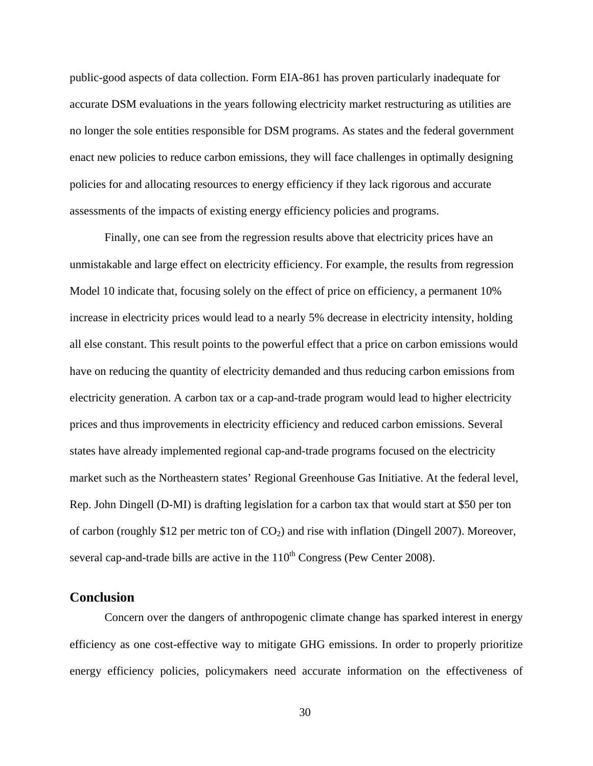public-good aspects of data collection. Form EIA-861 has proven particularly inadequate for accurate DSM evaluations in the years following electricity market restructuring as utilities are no longer the sole entities responsible for DSM programs. As states and the federal government enact new policies to reduce carbon emissions, they will face challenges in optimally designing policies for and allocating resources to energy efficiency if they lack rigorous and accurate assessments of the impacts of existing energy efficiency policies and programs.

Finally, one can see from the regression results above that electricity prices have an unmistakable and large effect on electricity efficiency. For example, the results from regression Model 10 indicate that, focusing solely on the effect of price on efficiency, a permanent 10% increase in electricity prices would lead to a nearly 5% decrease in electricity intensity, holding all else constant. This result points to the powerful effect that a price on carbon emissions would have on reducing the quantity of electricity demanded and thus reducing carbon emissions from electricity generation. A carbon tax or a cap-and-trade program would lead to higher electricity prices and thus improvements in electricity efficiency and reduced carbon emissions. Several states have already implemented regional cap-and-trade programs focused on the electricity market such as the Northeastern states' Regional Greenhouse Gas Initiative. At the federal level, Rep. John Dingell (D-MI) is drafting legislation for a carbon tax that would start at \$50 per ton of carbon (roughly \$12 per metric ton of  $CO<sub>2</sub>$ ) and rise with inflation (Dingell 2007). Moreover, several cap-and-trade bills are active in the  $110<sup>th</sup>$  Congress (Pew Center 2008).

## **Conclusion**

Concern over the dangers of anthropogenic climate change has sparked interest in energy efficiency as one cost-effective way to mitigate GHG emissions. In order to properly prioritize energy efficiency policies, policymakers need accurate information on the effectiveness of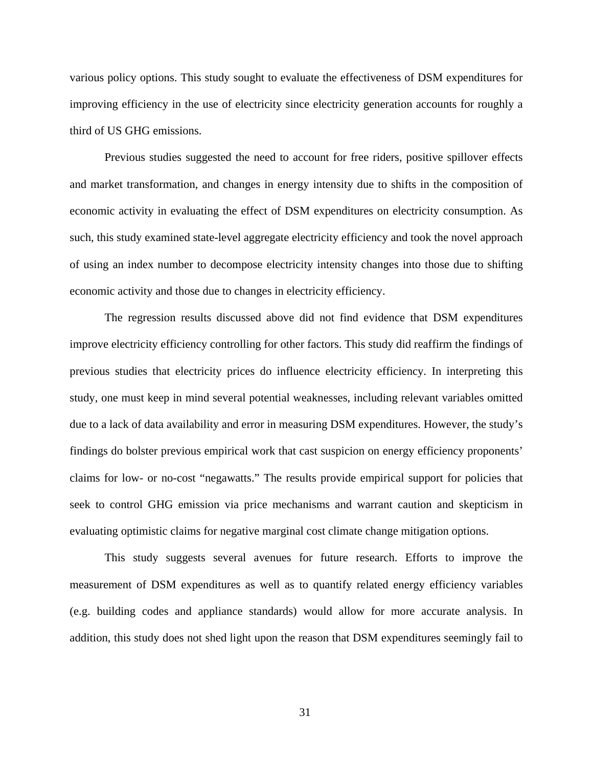various policy options. This study sought to evaluate the effectiveness of DSM expenditures for improving efficiency in the use of electricity since electricity generation accounts for roughly a third of US GHG emissions.

Previous studies suggested the need to account for free riders, positive spillover effects and market transformation, and changes in energy intensity due to shifts in the composition of economic activity in evaluating the effect of DSM expenditures on electricity consumption. As such, this study examined state-level aggregate electricity efficiency and took the novel approach of using an index number to decompose electricity intensity changes into those due to shifting economic activity and those due to changes in electricity efficiency.

The regression results discussed above did not find evidence that DSM expenditures improve electricity efficiency controlling for other factors. This study did reaffirm the findings of previous studies that electricity prices do influence electricity efficiency. In interpreting this study, one must keep in mind several potential weaknesses, including relevant variables omitted due to a lack of data availability and error in measuring DSM expenditures. However, the study's findings do bolster previous empirical work that cast suspicion on energy efficiency proponents' claims for low- or no-cost "negawatts." The results provide empirical support for policies that seek to control GHG emission via price mechanisms and warrant caution and skepticism in evaluating optimistic claims for negative marginal cost climate change mitigation options.

This study suggests several avenues for future research. Efforts to improve the measurement of DSM expenditures as well as to quantify related energy efficiency variables (e.g. building codes and appliance standards) would allow for more accurate analysis. In addition, this study does not shed light upon the reason that DSM expenditures seemingly fail to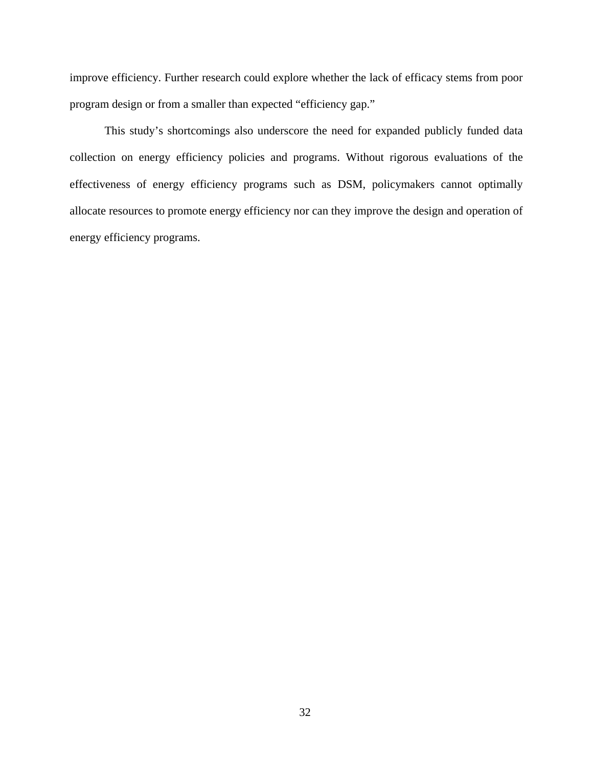improve efficiency. Further research could explore whether the lack of efficacy stems from poor program design or from a smaller than expected "efficiency gap."

This study's shortcomings also underscore the need for expanded publicly funded data collection on energy efficiency policies and programs. Without rigorous evaluations of the effectiveness of energy efficiency programs such as DSM, policymakers cannot optimally allocate resources to promote energy efficiency nor can they improve the design and operation of energy efficiency programs.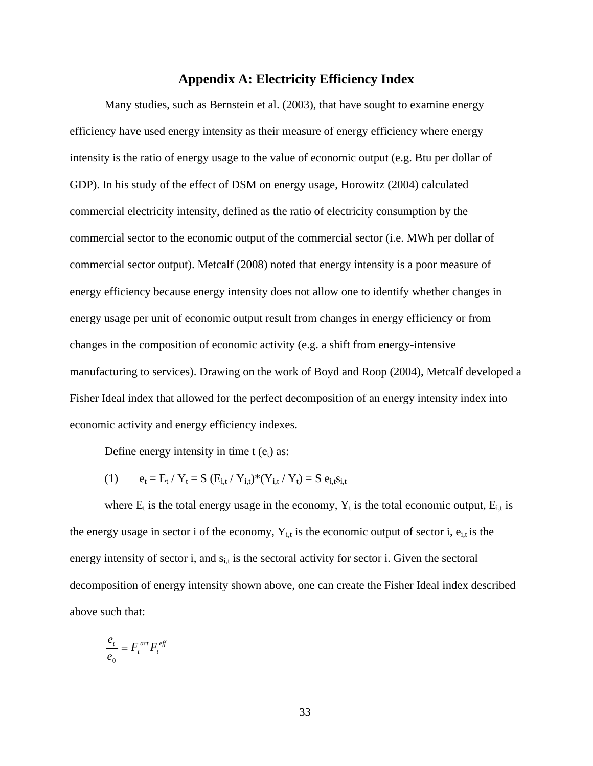### **Appendix A: Electricity Efficiency Index**

Many studies, such as Bernstein et al. (2003), that have sought to examine energy efficiency have used energy intensity as their measure of energy efficiency where energy intensity is the ratio of energy usage to the value of economic output (e.g. Btu per dollar of GDP). In his study of the effect of DSM on energy usage, Horowitz (2004) calculated commercial electricity intensity, defined as the ratio of electricity consumption by the commercial sector to the economic output of the commercial sector (i.e. MWh per dollar of commercial sector output). Metcalf (2008) noted that energy intensity is a poor measure of energy efficiency because energy intensity does not allow one to identify whether changes in energy usage per unit of economic output result from changes in energy efficiency or from changes in the composition of economic activity (e.g. a shift from energy-intensive manufacturing to services). Drawing on the work of Boyd and Roop (2004), Metcalf developed a Fisher Ideal index that allowed for the perfect decomposition of an energy intensity index into economic activity and energy efficiency indexes.

Define energy intensity in time  $t (e_t)$  as:

(1) 
$$
e_t = E_t / Y_t = S (E_{i,t} / Y_{i,t})^*(Y_{i,t} / Y_t) = S e_{i,t} s_{i,t}
$$

where  $E_t$  is the total energy usage in the economy,  $Y_t$  is the total economic output,  $E_{i,t}$  is the energy usage in sector i of the economy,  $Y_{i,t}$  is the economic output of sector i,  $e_{i,t}$  is the energy intensity of sector i, and  $s_{i,t}$  is the sectoral activity for sector i. Given the sectoral decomposition of energy intensity shown above, one can create the Fisher Ideal index described above such that:

$$
\frac{e_t}{e_0} = F_t^{act} F_t^{eff}
$$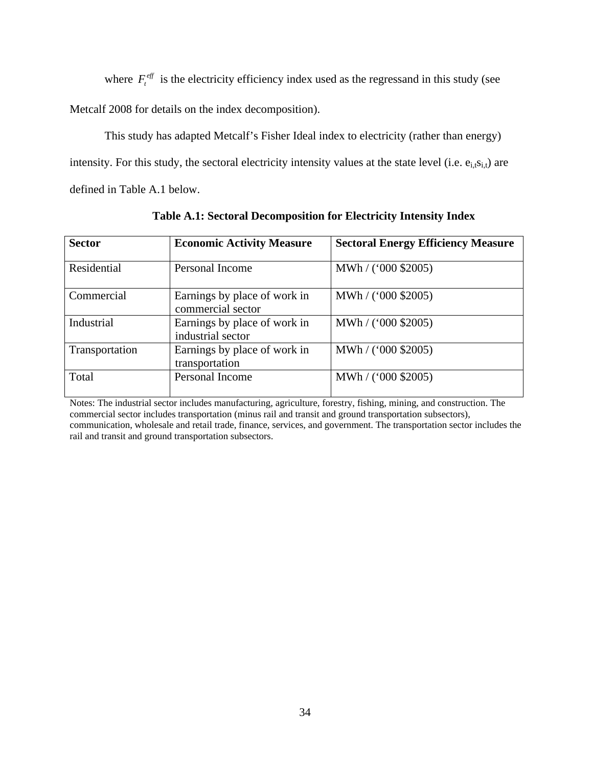where  $F_t^{\text{eff}}$  is the electricity efficiency index used as the regressand in this study (see

Metcalf 2008 for details on the index decomposition).

This study has adapted Metcalf's Fisher Ideal index to electricity (rather than energy) intensity. For this study, the sectoral electricity intensity values at the state level (i.e.  $e_{i,t}s_{i,t}$ ) are defined in Table A.1 below.

| <b>Sector</b>  | <b>Economic Activity Measure</b>                  | <b>Sectoral Energy Efficiency Measure</b> |
|----------------|---------------------------------------------------|-------------------------------------------|
| Residential    | Personal Income                                   | $MWh / (000 \text{ $2005})$               |
| Commercial     | Earnings by place of work in<br>commercial sector | MWh / ('000 \$2005)                       |
| Industrial     | Earnings by place of work in<br>industrial sector | $MWh / (000 \text{ $2005})$               |
| Transportation | Earnings by place of work in<br>transportation    | $MWh / (000 \text{ $2005})$               |
| Total          | Personal Income                                   | $MWh / (000 \text{ $2005})$               |

**Table A.1: Sectoral Decomposition for Electricity Intensity Index**

Notes: The industrial sector includes manufacturing, agriculture, forestry, fishing, mining, and construction. The commercial sector includes transportation (minus rail and transit and ground transportation subsectors), communication, wholesale and retail trade, finance, services, and government. The transportation sector includes the rail and transit and ground transportation subsectors.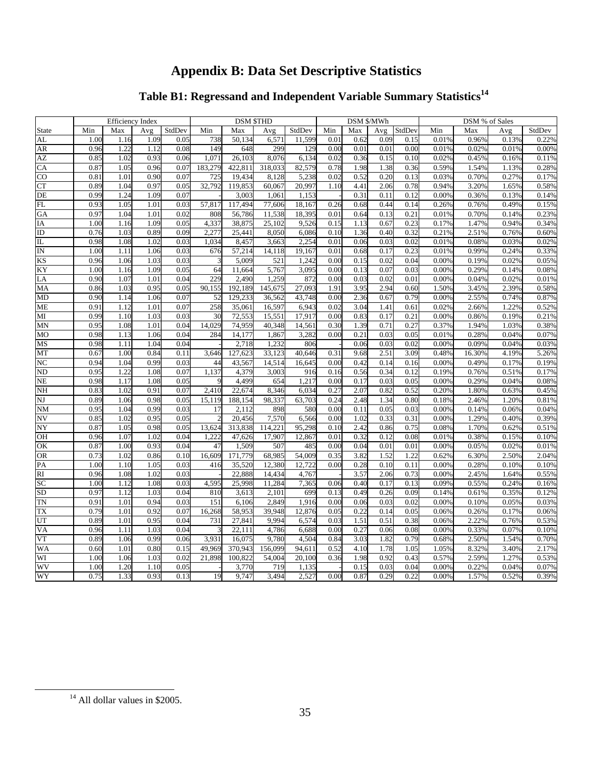## **Appendix B: Data Set Descriptive Statistics**

## **Table B1: Regressand and Independent Variable Summary Statistics<sup>14</sup>**

| Efficiency Index                      | <b>DSM STHD</b><br>DSM \$/MWh<br>DSM % of Sales                                                                                                                                                                                                                                                                                                                                                                                                                                                                                                                                                                                                                                                        |
|---------------------------------------|--------------------------------------------------------------------------------------------------------------------------------------------------------------------------------------------------------------------------------------------------------------------------------------------------------------------------------------------------------------------------------------------------------------------------------------------------------------------------------------------------------------------------------------------------------------------------------------------------------------------------------------------------------------------------------------------------------|
|                                       | Min   Max   Avg   StdDev   Min   Max   Avg   StdDev   Min   Max   Avg   StdDev   Min   Max   Avg   StdDev                                                                                                                                                                                                                                                                                                                                                                                                                                                                                                                                                                                              |
| $1.00$ $1.16$                         | $\frac{1.18}{0.96\%}$ 0.13%<br>6.571<br>$0.01$ $0.62$ $0.09$ 0<br>0.13%<br>0.01%                                                                                                                                                                                                                                                                                                                                                                                                                                                                                                                                                                                                                       |
| 0.96                                  | $0.02\%$ 0.01% 0.009<br>0.00%<br>$0.00\,$<br>0.01%<br>$-$                                                                                                                                                                                                                                                                                                                                                                                                                                                                                                                                                                                                                                              |
| $0.85$ $1.02$ $0.93$                  | 8,076 6,134<br>$0.02$ $0.36$ $0.15$ $0.10$ $0.02\%$ $0.45\%$ $0.16\%$ $0.11\%$<br>$0.06$ $1,071$ $26,103$                                                                                                                                                                                                                                                                                                                                                                                                                                                                                                                                                                                              |
|                                       | $0.037$ $1.05$ $0.96$ $0.07$ $183,279$ $422,811$ $318,033$ $82,579$ $0.78$ $1.98$ $1.38$ $0.36$ $0.59\%$ $1.54\%$ $1.13\%$ $0.28\%$                                                                                                                                                                                                                                                                                                                                                                                                                                                                                                                                                                    |
|                                       | $0.81$ 1.01 0.90 0.07 725 19.434 8.128 5.238 0.02 0.52 0.20 0.13 0.03% 0.70% 0.27% 0.17%                                                                                                                                                                                                                                                                                                                                                                                                                                                                                                                                                                                                               |
|                                       | $\frac{0.94\%}{0.98\%}$ 3.20% 1.65% 0.58%                                                                                                                                                                                                                                                                                                                                                                                                                                                                                                                                                                                                                                                              |
| $\frac{0.99}{0.93}$ 1.24              | $\begin{array}{cccccc} 0.12 & 0.00\% & 0.36\% & 0.13\% & 0.14\% \\ 0.26\% & 0.76\% & 0.49\% & 0.15\% \\ \hline \end{array}$<br>1.061<br>0.31<br>$0.11$ 0.1                                                                                                                                                                                                                                                                                                                                                                                                                                                                                                                                             |
| $rac{0.56}{0.56}$ $rac{1.06}{0.56}$   | $\frac{17,494}{17,494}$ 77,606 18,167 0.26 0.68 0.44 0.14<br>57.817<br>$rac{0.06}{0.05}$ $rac{0.05}{0.05}$ $rac{0.05}{0.05}$                                                                                                                                                                                                                                                                                                                                                                                                                                                                                                                                                                           |
| $0.97$ 1.04                           | $\frac{808}{11}$<br>11.538 18.395<br>$\frac{0.01}{0.15}$<br>$0.01\%$ 0.70% 0.14% 0.239<br>$0.64$ $0.13$ $0.2$<br>- 56.786                                                                                                                                                                                                                                                                                                                                                                                                                                                                                                                                                                              |
| 1.00 1.16 1.09                        | 0.05 4.337 38.875<br>25,102<br>9.526<br>$0.15$ 1.13 0.67 0.23<br>$0.17\%$ 1.47%<br>$0.94\%$ $0.34\%$                                                                                                                                                                                                                                                                                                                                                                                                                                                                                                                                                                                                   |
| $0.76$ $1.03$ $0.89$<br>0.09          | $0.21\%$ 2.51% 0.76%<br>8.050<br>25.441<br>6,086<br>$0.10$ $1.36$ $0.40$ $0.3$<br>0.60%                                                                                                                                                                                                                                                                                                                                                                                                                                                                                                                                                                                                                |
| $0.98$ 1.08<br>0.03                   | $0.01\%$ 0.08%<br>3.663<br>0.02%<br>1.034 8.457<br>$0.03\%$                                                                                                                                                                                                                                                                                                                                                                                                                                                                                                                                                                                                                                            |
| $1.00$ $1.11$ $1.06$<br>0.03          | $\begin{array}{c cc} 0.01 & 0.06 & 0.03 & 0.0 \\ \hline 0.01 & 0.68 & 0.17 & 0.2 \end{array}$<br>$\frac{0.01\%}{0.01\%}$ 0.99% 0.24%<br>14,118 19,167<br>$0.24\%$ $0.33\%$<br>676 57.21                                                                                                                                                                                                                                                                                                                                                                                                                                                                                                                |
| $\frac{.00}{0.96}$ 1.06<br>- 0.031    | $521$ 1,242<br>$0.00$ $0.15$ $0.02$                                                                                                                                                                                                                                                                                                                                                                                                                                                                                                                                                                                                                                                                    |
| 1.00 1.16                             | 0.00<br>5767                                                                                                                                                                                                                                                                                                                                                                                                                                                                                                                                                                                                                                                                                           |
| $\frac{1.00}{0.90}$ 1.07              | $\begin{array}{ c c c c c c } \hline 0.01\% & 0.99\% & 0.24\% & 0.33\% \ \hline 04 & 0.00\% & 0.19\% & 0.02\% & 0.05\% \ \hline 03 & 0.00\% & 0.29\% & 0.14\% & 0.08\% \ \hline 01 & 0.00\% & 0.04\% & 0.02\% & 0.01\% \ \hline \end{array}$<br>$\cdot$ , $\cdot$ , $\cdot$ , $\cdot$ , $\cdot$ , $\cdot$ , $\cdot$ , $\cdot$ , $\cdot$ , $\cdot$ , $\cdot$ , $\cdot$ , $\cdot$ , $\cdot$ , $\cdot$ , $\cdot$ , $\cdot$ , $\cdot$ , $\cdot$ , $\cdot$ , $\cdot$ , $\cdot$ , $\cdot$ , $\cdot$ , $\cdot$ , $\cdot$ , $\cdot$ , $\cdot$ , $\cdot$ , $\cdot$ , $\cdot$ , $\cdot$ , $\cdot$ , $\cdot$ , $\cdot$ , $\cdot$ , $\cdot$ ,<br><del>.</del><br>$2 \t 0.00 \t ($<br>$0.02 \ 0.0$<br>0.03<br>1,259 |
| $0.86$ 1.03<br>0.95                   | $1.50\%$ $3.45\%$<br>0.05 90.155 192.189<br>145,675 27,093<br>2.39% 0.58%<br>1.91<br>2.94 0.60<br>3.95                                                                                                                                                                                                                                                                                                                                                                                                                                                                                                                                                                                                 |
| $0.90 \qquad 1.14$<br>- 0.07          | $0.00\%$ 2.55% 0.74% 0.87%<br>36,562<br>0.00<br>43.748<br>$2.36$ $0.67$ $0.7$                                                                                                                                                                                                                                                                                                                                                                                                                                                                                                                                                                                                                          |
| $0.91$ $1.12$ $1.01$<br>0.07          | $\frac{16,597}{6,943}$<br>$0.02\%$ 2.66%<br>258 35.061<br>0.02<br>$3.04$ 1.41 0.61<br>1.22% 0.52%                                                                                                                                                                                                                                                                                                                                                                                                                                                                                                                                                                                                      |
| 0.03                                  | $0.00$ $0.83$ $0.17$ $0.2$<br>$\frac{0.00\%}{0.025}$<br>0.86%<br>- 3∩                                                                                                                                                                                                                                                                                                                                                                                                                                                                                                                                                                                                                                  |
| 0.99 1.10 1.03<br>0.95 1.08 1.01      | 15,551 17,917<br>40,348 14,561<br>$\begin{array}{r l}\n 0.86\% & 0.19\% & 0.21\% \\  \hline\n 1.94\% & 1.03\% & 0.38\% \\  \end{array}$<br>0.30<br>0.71<br>$0.37\%$<br>14.029                                                                                                                                                                                                                                                                                                                                                                                                                                                                                                                          |
| $0.98$ 1.13                           | $\frac{1}{2}$ $\frac{0.66}{2}$<br><u> 1000 - 1000 - 1000 - 1000 - 1000 - 1000 - 1000 - 1000 - 1000 - 1000 - 1000 - 1000 - 1000 - 1000 - 1000 - 100</u><br>1.867<br>$\begin{array}{ c c c c c c } \hline 0.01\% & 0.28\% & 0.04\% & 0.07\% \hline \end{array}$<br>$82 \t 0.00$<br>$-3.282$<br>-0.031                                                                                                                                                                                                                                                                                                                                                                                                    |
| $0.98$ 1.11                           | $0.00\%$<br>$0.09\%$<br>0.04%<br>0.03%<br>0.031<br>-80 K                                                                                                                                                                                                                                                                                                                                                                                                                                                                                                                                                                                                                                               |
| $0.67$ 1.00 0.84 0.11 3,646 1         | 27,623 33,123<br>40,646 0.31 9.68 2.51 3.09<br>0.48% 16.30% 4.19% 5.26%                                                                                                                                                                                                                                                                                                                                                                                                                                                                                                                                                                                                                                |
| $0.94$ $1.04$ $0.99$ $0.03$           | 14,514 16,645 0.00 0.42 0.14 0.16<br>$0.00\%$ $0.49\%$ $0.17\%$ $0.19\%$<br>44 43.567                                                                                                                                                                                                                                                                                                                                                                                                                                                                                                                                                                                                                  |
| 0.95 1.22 1.08 0.07 1.137 4.379       | $\frac{0.19\%}{0.00\%} \quad \frac{0.76\%}{0.29\%}$<br>3.003<br>916 0.16 0.56 0.34 0.12<br>$0.51\%$ 0.17%                                                                                                                                                                                                                                                                                                                                                                                                                                                                                                                                                                                              |
| 0.98 1.17<br>0.05                     | $0.08\%$<br>$-1$ $\overline{0.03}$ 0.05<br>$0.00 \qquad 0.17$<br>$0.04\%$<br>654<br>121                                                                                                                                                                                                                                                                                                                                                                                                                                                                                                                                                                                                                |
| 0.83                                  | 1.80%<br>$0.63\%$<br>0.45%<br>0.20%<br>$1.0070$ $0.0575$ $0.15$                                                                                                                                                                                                                                                                                                                                                                                                                                                                                                                                                                                                                                        |
| <u>" —</u><br>0.89 1.06               | 2.46%<br>0.81%<br>15 1 19<br>98.337<br>- 63<br>0.18%<br>1.20%<br>0.24                                                                                                                                                                                                                                                                                                                                                                                                                                                                                                                                                                                                                                  |
| $0.95$ $1.04$ $0.99$<br>0.03          | 898<br>0.00<br>$0.05$ 0.03<br>$0.00\%$ 0.14%<br>$0.06\%$ 0.04%<br>-5801                                                                                                                                                                                                                                                                                                                                                                                                                                                                                                                                                                                                                                |
| $0.85$ $1.02$ $0.95$<br>0.05          | $\frac{0.00\%}{0.00\%}$ 1.29%<br>$\frac{0.40\%}{0.40\%}$ 0.39%<br>7.570 6.566<br>0.00<br>20.456<br>$1.02 \quad 0.33 \quad 0.31$                                                                                                                                                                                                                                                                                                                                                                                                                                                                                                                                                                        |
| 0.87 1.05 0.98 0.05 13.624 313.838    | $\frac{0.8976}{0.08\%}$ 1.70% 0.62% 0.51%<br>$\frac{7,576}{114,221}$ 95,298 0.10 2.42 0.86 0.75                                                                                                                                                                                                                                                                                                                                                                                                                                                                                                                                                                                                        |
| $0.96$ $1.07$<br>102                  | $\frac{0.0076}{0.01\%}$ 0.38% 0.15% 0.10%<br>17.907 12.867<br>$0.01$ $0.32$ $0.12$ $0.08$<br>0.04 1.222 47.626<br>$\cdots$                                                                                                                                                                                                                                                                                                                                                                                                                                                                                                                                                                             |
| 0.87 1.00                             | 0.00<br>507<br>0.01<br>485                                                                                                                                                                                                                                                                                                                                                                                                                                                                                                                                                                                                                                                                             |
| $0.73 \qquad 1.02$                    | 0.00% 0.05% 0.02% 0.01%<br>22 0.62% 6.30% 2.50% 2.04%<br>$\frac{337}{68,985}$ 54,009 0.35 3.82 1.52 1.<br>16,609 1<br>0.35                                                                                                                                                                                                                                                                                                                                                                                                                                                                                                                                                                             |
| 1.00 1.10<br>- 0.031                  | 12,380 12,7<br>0.00% 0.28%<br>$0.00 \qquad 0.28 \qquad 0.10 \qquad 0.11$<br>$0.10\%$ 0.10%<br>416                                                                                                                                                                                                                                                                                                                                                                                                                                                                                                                                                                                                      |
| $0.96$ $1.08$ $1.02$<br>- 0.031       | $\frac{12,333}{14,434}$ 4,767<br>$\frac{1.64\%}{0.55\%}$<br>0.00% 2.45%<br>$2.06$ 0.7<br>$-1$ 3.57                                                                                                                                                                                                                                                                                                                                                                                                                                                                                                                                                                                                     |
| 1.00 1.12 1.08 0.03 4,595 25,998      | $11,284$ 7.365 0.06 0.40 0.17 0.13 0.09% 0.55% 0.24% 0.16%                                                                                                                                                                                                                                                                                                                                                                                                                                                                                                                                                                                                                                             |
| 0.97 1.12 1.03 0.04 810 3.613         | 2,101<br>699 0.13 0.49 0.26 0.09 0.14% 0.61% 0.35% 0.12%                                                                                                                                                                                                                                                                                                                                                                                                                                                                                                                                                                                                                                               |
| $\frac{0.91}{0.91}$ 1.01 0.94<br>0.03 | $\frac{6.15}{16}$ 0.00 0.06 0.03 0.02<br>2.849 1.916<br>$0.00\%$ $0.10\%$ $0.05\%$<br>151 6.106<br>0.03%                                                                                                                                                                                                                                                                                                                                                                                                                                                                                                                                                                                               |
| $0.79$ 1.01                           | $\frac{0.05}{0.05}$<br>39,948<br>0.26%<br>12.876<br>$5 - 0.06\%$<br>0.06%<br>16,268<br>58.95°<br>$0.26\%$ $0.17\%$ $0.06\%$<br>$\frac{0.14}{1}$                                                                                                                                                                                                                                                                                                                                                                                                                                                                                                                                                        |
| $0.89$ 1.01                           | $\frac{1}{2.22\%}$<br>$6,574$ 0.03<br>9,994<br>$\frac{0.51}{2}$ $\frac{0.51}{2}$ $\frac{0.38}{2}$<br>$6$ 0.76% 0.53%                                                                                                                                                                                                                                                                                                                                                                                                                                                                                                                                                                                   |
| $0.96$ 1.11 1.03<br>0.04              | 4,786 6,688 0.00 0.27<br>$0.06$ 0.08<br>$0.00\%$ 0.33%<br>$0.33\%$ $0.07\%$ $0.10\%$                                                                                                                                                                                                                                                                                                                                                                                                                                                                                                                                                                                                                   |
| 0.89 1.06 0.99<br>0.06                | 9.780 4.504<br>0.68% 2.50%<br>3.931 16.075<br>$0.84$ $3.03$ $1.82$ 0.79<br>1.54% 0.70%                                                                                                                                                                                                                                                                                                                                                                                                                                                                                                                                                                                                                 |
|                                       |                                                                                                                                                                                                                                                                                                                                                                                                                                                                                                                                                                                                                                                                                                        |
|                                       | $1.00$ $1.06$ $1.03$ $0.02$ $21,898$ $100,822$ $54,004$ $20,100$ $0.36$ $1.98$ $0.92$ $0.43$ $0.57\%$ $2.59\%$<br>1.27% 0.53%                                                                                                                                                                                                                                                                                                                                                                                                                                                                                                                                                                          |
| 1.00 1.20 1.10<br>005L                | 719 1.135                                                                                                                                                                                                                                                                                                                                                                                                                                                                                                                                                                                                                                                                                              |
| $0.75$ 1.33 0.93 0.13                 | $0.00$ 0.87 0.29 0.22<br>3,494 2,527<br>19 9,747                                                                                                                                                                                                                                                                                                                                                                                                                                                                                                                                                                                                                                                       |
|                                       |                                                                                                                                                                                                                                                                                                                                                                                                                                                                                                                                                                                                                                                                                                        |

 $14$  All dollar values in \$2005.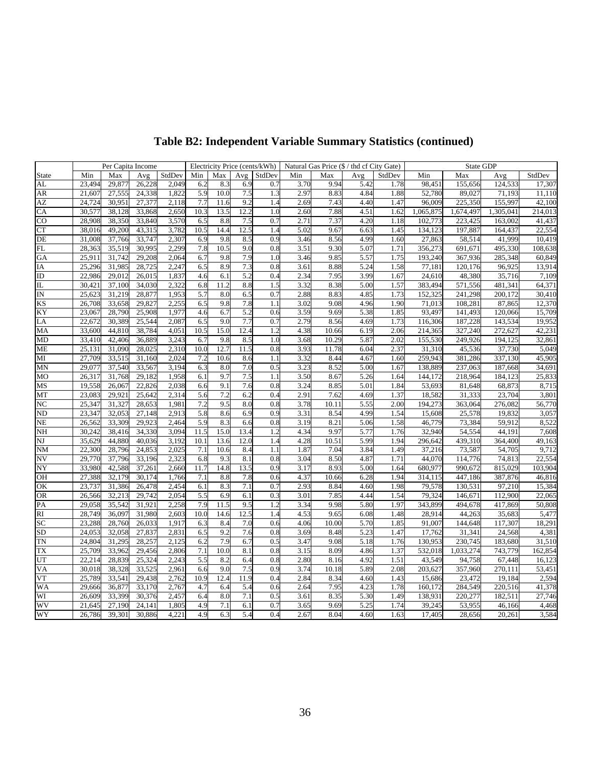|           |  | Per Capita Income          |                                                           |                | Electricity Price (cents/kWh) Natural Gas Price $(\frac{f}{f})$ thd cf City Gate) |           |                |                        |         | State GDP              |          |
|-----------|--|----------------------------|-----------------------------------------------------------|----------------|-----------------------------------------------------------------------------------|-----------|----------------|------------------------|---------|------------------------|----------|
|           |  |                            | Min   Max   Avg   StdDev   Min   Max   Avg   StdDev   Min |                | Max 1                                                                             |           | Avg StdDev Min |                        |         | Max Avg StdDev         |          |
|           |  |                            | 23,494 29,877 26,228 2,049 6.2 8.3 6.9                    |                | $0.7$ $3.70$ $9.94$ $5.42$                                                        |           | 1.78           | 98.451                 | 155.656 | 124,533                | 17.307   |
| AR        |  |                            | 21,607 27,555 24,338 1,822 5.9 10.0 7.5                   |                | 1.3 2.97 8.83 4.84                                                                |           |                | 1.88 52,780            | 89,027  | 71,193                 | -- 11.11 |
| AZ        |  | 24,724 30,951 27,377 2,118 | 7.7 11.6 9.2                                              |                | 1.4 2.69                                                                          | 7.43 4.40 | 1.47           | 96,009                 | 225,350 | 155,997                | 42,100   |
| CA        |  |                            | 30,577 38,128 33,868 2,650 10.3 13.5 12.2                 |                | 1.0 2.60                                                                          | 7.88 4.51 |                | 1.62 1,065,87          |         | 1,674,497 1,305,041    | 214,01   |
| CO        |  | 28,908 38,350 33,840 3,570 | 6.5 8.8 7.5                                               |                | $0.7$ 2.71                                                                        | 7.37 4.20 |                | 1.18 102,77            | 223,425 | 163,002                | 41,437   |
| CT        |  |                            | 38,016 49,200 43,315 3,782 10.5 14.4 12.5                 |                | 1.4 5.02                                                                          | 9.67 6.63 |                | 1.45 134,123           | 197,887 | 164,437                | 22,554   |
|           |  |                            | 31,008 37,766 33,747 2,307 6.9 9.8 8.5                    | 0.9            | 8.56<br>3.46                                                                      | 4.99      | 1.60           | 27,863                 | 58,514  | 41,999                 | 10,41    |
|           |  | 28,363 35,519 30,995 2,299 | 7.8 10.5 9.0                                              | 0.8            | 9.30<br>3.51                                                                      | 5.07      |                | 1.71 356,273           | 691,671 | 495,330                | 108.638  |
| <b>GA</b> |  | 25,911 31,742 29,208 2,064 | 6.7 9.8 7.9                                               | 1.0            | 3.46<br>9.85                                                                      | 5.57      |                | 1.75 193,240           | 367,936 | 285,348                | 60.849   |
| <b>TA</b> |  | 25,296 31,985 28,725 2,247 | 6.5 8.9 7.3                                               | 0.8            | 3.61<br>8.88                                                                      | 5.24      | 1.58           | 77,181                 | 120,176 | 96,925                 | 13,914   |
|           |  | 22,986 29,012 26,015 1,837 | 4.6 6.1 5.2                                               | 0.4            | 2.34<br>7.95                                                                      | 3.99      | 1.67           | 24.610                 | 48,380  | 35,716                 | 7.109    |
|           |  | 30,421 37,100 34,030 2,322 | 6.8 11.2 8.8                                              | 1.5            | 3.32<br>8.38                                                                      | 5.00      |                | 1.57 383,494           |         | 481.341                | 64.37    |
|           |  |                            |                                                           |                |                                                                                   |           |                |                        | 571,556 |                        |          |
|           |  | 25,623 31,219 28,877 1,953 | 5.7 8.0 6.5                                               | 0.7            | 2.88<br>8.83                                                                      | 4.85      |                | 1.73 152,325           | 241,298 | 200,172                | 30,41    |
| <b>KS</b> |  | 26,708 33,658 29,827 2,255 | 6.5 9.8 7.8                                               | 1.1            | 9.08<br>3.02                                                                      | 4.96      |                | 1.90 71,01             | 108,281 | 87,865                 | 12.37    |
| KY.       |  | 23.067 28.790 25.908 1.977 | 4.6 6.7 5.2                                               | 0.6            | 3.59                                                                              | 9.69 5.38 |                | 1.85 93.497            | 141.493 | 120,066                | 15,709   |
| LA        |  |                            | 22,672 30,389 25,544 2,087 6.5 9.0 7.7                    |                | $0.7$ $2.79$ $8.56$ $4.69$                                                        |           |                | 1.73 116,306           | 187,228 | 143,534                | 19.952   |
| MA        |  |                            | 33,600 44,810 38,784 4,051 10.5 15.0 12.4                 |                | 10.66<br>1.2 4.38                                                                 | 6.19      |                | 2.06 214,365           | 327,240 | 272,627                | 42.23    |
| <b>MD</b> |  |                            | 33.410 42.406 36.889 3.243 6.7 9.8 8.5                    | 1.0            | 10.29<br>3.68                                                                     | 5.87      |                | 2.02 155.530           | 249.926 | 194.125                | 32.861   |
| ME        |  |                            | 25,131 31,090 28,025 2,310 10.0 12.7 11.5                 |                | 0.8 3.93 11.78                                                                    | 6.04      |                | 2.37 31.310            | 45,536  | 37,730                 | 5.049    |
| MI        |  |                            | 27,709 33,515 31,160 2,024 7.2 10.6 8.6                   | $-1.1$         | 3.32 8.44 4.67 1.60 259,943                                                       |           |                |                        | 381.286 | 337,130                | 45.905   |
| MN        |  | 29.077 37.540 33,567 3,194 | 63                                                        | 8.0 7.0<br>0.5 | 8.52<br>3.23                                                                      | 5.00      |                | 1.67 138,889           | 237,063 | 187,668                | 34.691   |
| MO        |  | 26,317 31,768 29,182 1,958 | 6.1 9.7 7.5                                               | $-11$          | 3.50                                                                              | 8.67 5.26 |                | 1.64 144,17            | 218,964 | 184,123                | 25.833   |
| MS        |  | 19,558 26,067 22,826 2,038 |                                                           | 9.1 7.6<br>0.8 | 8.85<br>3.24                                                                      | 5.01      |                | 1.84 53,693            | 81.648  | 68,873                 | 8.71     |
| MT        |  | 23,083 29,921 25,642 2,314 | 5.6 7.2 6.2                                               | 0.4            | 2.91<br>7.62                                                                      | 4.69      | 1.37           | 18,582                 | 31,333  | 23,704                 | 3,801    |
|           |  | 25,347 31,327 28,653 1,981 | 7.2 9.5 8.0                                               | 0.8            | 10.11<br>3.78                                                                     | 5.55      |                | 2.00 194,27            | 363,064 | 276,082                | 56,77    |
| ND        |  | 23,347 32,053 27,148 2,913 | 5.8 8.6 6.9                                               | 0.9            | 8.54<br>3.31                                                                      | 4.99      | 1.54           | 15.608                 | 25,578  | 19,832                 | 3.05     |
| <b>NE</b> |  |                            | 26,562 33,309 29,923 2,464 5.9 8.3 6.6                    | 0.8            | 3.19<br>8.21                                                                      | 5.06      | 1.58           | 46,779                 | 73,384  | 59,912                 | 8,522    |
| NH        |  |                            | 30,242 38,416 34,330 3,094 11.5 15.0 13.4                 | 1.2            | 4.34<br>9.97                                                                      | 5.77      | 1.76           | 32,940                 | 54,554  | 44,191                 | 7.608    |
|           |  |                            | 35,629 44,880 40,036 3,192 10.1 13.6 12.0                 | 1.4            | 4.28<br>10.51                                                                     | 5.99      |                | 1.94 296,642           | 439,310 | 364,400                | 49.16    |
| NM        |  |                            | 22,300 28,796 24,853 2,025 7.1 10.6 8.4                   | 1.1            | 1.87<br>7.04                                                                      | 3.84      | 1.49           | 37,216                 | 73,587  | 54,705                 | 9,71     |
| NV.       |  |                            | 29.770 37.796 33.196 2.323 6.8 9.3 8.1                    | 0.8            | 3.04<br>8.50                                                                      | 4.87      | 1.71           | 44.07                  | 114,776 | 74,813                 | 22,554   |
| NY.       |  |                            | 33,980 42,588 37,261 2,660 11.7 14.8 13.5                 |                | 8.93<br>$0.9$ $3.17$                                                              | 5.00      |                | 1.64 680,977           | 990.672 | 815,029                | 103.904  |
| <b>OH</b> |  | 27.388 32.179 30.174 1.766 | 7.1 8.8 7.8                                               |                | 4.37<br>10.66<br>$0.6\,$                                                          | 6.28      |                | 1.94 314,11            | 447.186 | 387,876                | 46.816   |
| OK        |  |                            | 23.737 31.386 26.478 2.454 6.1 8.3 7.1                    | 0.7            | 2.93<br>8.84                                                                      | 4.60      | 1.98           | 79.578                 | 130.531 | 97,210                 | 15.384   |
| OR        |  |                            | 26,566 32,213 29,742 2,054 5.5 6.9 6.1                    | 0.3            | 3.01<br>7.85                                                                      | 4.44      | 1.54           | 79.324                 | 146.671 | 112,900                | 22.065   |
| <b>PA</b> |  |                            | 29,058 35,542 31,921 2,258 7.9 11.5 9.5                   |                | 1.2 3.34                                                                          |           |                | 9.98 5.80 1.97 343.899 |         | 494,678 417,869 50,808 |          |
|           |  |                            | 28.749 36.097 31.980 2.603 10.0 14.6 12.5                 |                | 1.4 4.53<br>9.65                                                                  | 6.08      |                | 1.48 28.914            | 44.263  | 35.683                 | 5.47     |
|           |  |                            | 23,288 28,760 26,033 1,917 6.3 8.4 7.0                    |                | $0.6$ 4.06<br>10.00                                                               | 5.70      |                | 1.85 91,007            |         | 144,648 117,307        | 18.291   |
|           |  |                            |                                                           |                |                                                                                   |           |                |                        |         |                        |          |
| SD.       |  |                            | 24,053 32,058 27,837 2,831 6.5 9.2 7.6                    |                | $0.8$ $3.69$ $8.48$ $5.23$ $1.47$ $17.762$                                        |           |                |                        |         | 31,341 24,568          | 4.381    |
| TN -      |  |                            | 24,804 31,295 28,257 2,125 6.2 7.9 6.7                    |                | 0.5 3.47 9.08 5.18 1.76 130.953                                                   |           |                |                        |         | 230,745 183,680        | 31.51    |
| TX.       |  |                            | 25,709 33,962 29,456 2,806 7.1 10.0 8.1                   |                | 0.8 3.15 8.09 4.86 1.37 532,018 1,033,274 743,779 162,854                         |           |                |                        |         |                        |          |
|           |  |                            | 22,214 28,839 25,324 2,243 5.5 8.2 6.4                    |                | 0.8 2.80 8.16 4.92 1.51 43,549                                                    |           |                |                        | 94,758  | 67,448                 | 16.12    |
| VA.       |  |                            | 30,018 38,328 33,525 2,961 6.6 9.0 7.5                    |                | 0.9 3.74 10.18 5.89 2.08 203,627                                                  |           |                |                        | 357.960 | 270,111                | 53.451   |
| VT        |  |                            | 25,789 33,541 29,438 2,762 10.9 12.4 11.9                 |                | 0.4 2.84 8.34 4.60 1.43 15,686                                                    |           |                |                        | 23,472  | 19,184                 | 2,594    |
| <b>WA</b> |  |                            | 29,666 36,877 33,170 2,767 4.7 6.4 5.4                    |                | $0.6$ 2.64<br>7.95                                                                | 4.23      |                | 1.78 160,172           |         | 284,549 220,516        | 41,378   |
| WI        |  |                            | 26,609 33,399 30,376 2,457 6.4 8.0 7.1                    |                | 0.5 3.61 8.35 5.30 1.49 138,931                                                   |           |                |                        | 220,277 | 182,511                | 27,746   |
| WV -      |  |                            | 21,645 27,190 24,141 1,805 4.9 7.1 6.1                    |                | $0.7$ $3.65$ $9.69$ $5.25$                                                        |           |                | 1.74 39,245            | 53,955  | 46,166                 | 4,468    |
| WY        |  |                            | 26,786 39,301 30,886 4,221 4.9 6.3 5.4                    |                | $0.4$ 2.67<br>8.04                                                                | 4.60      | 1.63           | 17,405                 | 28,656  | 20,261                 | 3,584    |

## **Table B2: Independent Variable Summary Statistics (continued)**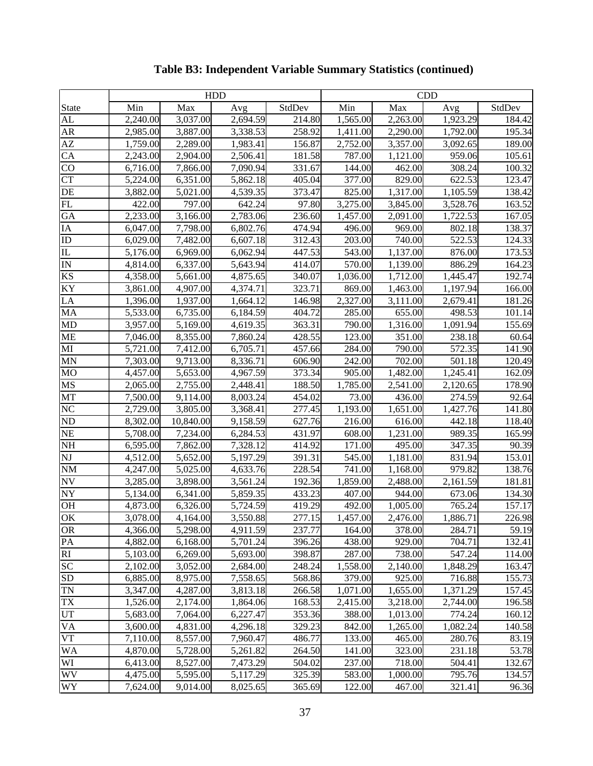|                                                                                                                                                                                                                                                                                                    |          | <b>HDD</b> |          |        |          | CDD      |          |        |
|----------------------------------------------------------------------------------------------------------------------------------------------------------------------------------------------------------------------------------------------------------------------------------------------------|----------|------------|----------|--------|----------|----------|----------|--------|
|                                                                                                                                                                                                                                                                                                    | Min      | Max        | Avg      | StdDev | Min      | Max      | Avg      | StdDev |
| State<br>AL<br>AR<br>AZ<br>CA<br>CO<br>CT<br>DE<br>EL<br>GA                                                                                                                                                                                                                                        | 2,240.00 | 3,037.00   | 2,694.59 | 214.80 | 1,565.00 | 2,263.00 | 1,923.29 | 184.42 |
|                                                                                                                                                                                                                                                                                                    | 2,985.00 | 3,887.00   | 3,338.53 | 258.92 | 1,411.00 | 2,290.00 | 1,792.00 | 195.34 |
|                                                                                                                                                                                                                                                                                                    | 1,759.00 | 2,289.00   | 1,983.41 | 156.87 | 2,752.00 | 3,357.00 | 3,092.65 | 189.00 |
|                                                                                                                                                                                                                                                                                                    | 2,243.00 | 2,904.00   | 2,506.41 | 181.58 | 787.00   | 1,121.00 | 959.06   | 105.61 |
|                                                                                                                                                                                                                                                                                                    | 6,716.00 | 7,866.00   | 7,090.94 | 331.67 | 144.00   | 462.00   | 308.24   | 100.32 |
|                                                                                                                                                                                                                                                                                                    | 5,224.00 | 6,351.00   | 5,862.1  | 405.04 | 377.00   | 829.00   | 622.53   | 123.47 |
|                                                                                                                                                                                                                                                                                                    | 3,882.00 | 5,021.00   | 4,539.35 | 373.47 | 825.00   | 1,317.00 | 1,105.59 | 138.42 |
|                                                                                                                                                                                                                                                                                                    | 422.00   | 797.00     | 642.24   | 97.80  | 3,275.00 | 3,845.00 | 3,528.7  | 163.52 |
|                                                                                                                                                                                                                                                                                                    | 2,233.00 | 3,166.00   | 2,783.06 | 236.60 | 1,457.00 | 2,091.00 | 1,722.53 | 167.05 |
| IA                                                                                                                                                                                                                                                                                                 | 6,047.00 | 7,798.00   | 6,802.7  | 474.94 | 496.00   | 969.00   | 802.18   | 138.3  |
| $\overline{\text{ID}}$                                                                                                                                                                                                                                                                             | 6,029.00 | 7,482.00   | 6,607.1  | 312.43 | 203.00   | 740.00   | 522.53   | 124.33 |
|                                                                                                                                                                                                                                                                                                    | 5,176.00 | 6,969.00   | 6,062.94 | 447.53 | 543.00   | 1,137.00 | 876.00   | 173.53 |
|                                                                                                                                                                                                                                                                                                    | 4,814.00 | 6,337.00   | 5,643.94 | 414.07 | 570.00   | 1,139.00 | 886.29   | 164.23 |
|                                                                                                                                                                                                                                                                                                    | 4,358.00 | 5,661.00   | 4,875.65 | 340.07 | 1,036.00 | 1,712.00 | 1,445.47 | 192.74 |
|                                                                                                                                                                                                                                                                                                    | 3,861.00 | 4,907.00   | 4,374.71 | 323.71 | 869.00   | 1,463.00 | 1,197.94 | 166.00 |
|                                                                                                                                                                                                                                                                                                    | 1,396.00 | 1,937.00   | 1,664.12 | 146.98 | 2,327.00 | 3,111.00 | 2,679.41 | 181.26 |
|                                                                                                                                                                                                                                                                                                    | 5,533.00 | 6,735.00   | 6,184.59 | 404.72 | 285.00   | 655.00   | 498.53   | 101.14 |
| IN<br>KS<br>KY<br>LA<br>MD<br>ME<br>MI<br>MI<br>MI<br>MN                                                                                                                                                                                                                                           | 3,957.00 | 5,169.00   | 4,619.35 | 363.31 | 790.00   | 1,316.00 | 1,091.94 | 155.69 |
|                                                                                                                                                                                                                                                                                                    | 7,046.0  | 8,355.00   | 7,860.24 | 428.55 | 123.00   | 351.00   | 238.18   | 60.64  |
|                                                                                                                                                                                                                                                                                                    | 5,721.00 | 7,412.00   | 6,705.7  | 457.6  | 284.00   | 790.00   | 572.35   | 141.90 |
|                                                                                                                                                                                                                                                                                                    | 7,303.00 | 9,713.00   | 8,336.7  | 606.90 | 242.00   | 702.00   | 501.18   | 120.49 |
|                                                                                                                                                                                                                                                                                                    | 4,457.00 | 5,653.00   | 4,967.59 | 373.34 | 905.00   | 1,482.00 | 1,245.41 | 162.09 |
|                                                                                                                                                                                                                                                                                                    | 2,065.00 | 2,755.00   | 2,448.4  | 188.50 | 1,785.00 | 2,541.00 | 2,120.65 | 178.90 |
| MO<br>MS<br>MT                                                                                                                                                                                                                                                                                     | 7,500.00 | 9,114.00   | 8,003.24 | 454.02 | 73.00    | 436.00   | 274.59   | 92.64  |
|                                                                                                                                                                                                                                                                                                    | 2,729.00 | 3,805.00   | 3,368.41 | 277.45 | 1,193.00 | 1,651.00 | 1,427.76 | 141.80 |
|                                                                                                                                                                                                                                                                                                    | 8,302.00 | 10,840.00  | 9,158.59 | 627.7  | 216.00   | 616.00   | 442.18   | 118.40 |
|                                                                                                                                                                                                                                                                                                    | 5,708.00 | 7,234.00   | 6,284.53 | 431.97 | 608.00   | 1,231.00 | 989.35   | 165.99 |
| $\frac{\overline{\text{NC}}}{\text{ND}}$<br>$\frac{\overline{\text{ND}}}{\text{NE}}$<br>$\frac{\overline{\text{NE}}}{\text{NH}}$                                                                                                                                                                   | 6,595.00 | 7,862.00   | 7,328.12 | 414.92 | 171.00   | 495.00   | 347.35   | 90.39  |
| $\overline{\text{NJ}}$                                                                                                                                                                                                                                                                             | 4,512.00 | 5,652.00   | 5,197.29 | 391.31 | 545.00   | 1,181.00 | 831.94   | 153.01 |
| $\frac{NM}{NY}$ or $\frac{N}{N}$ or $\frac{N}{N}$ or $\frac{N}{N}$ or $\frac{N}{N}$ or $\frac{N}{N}$ or $\frac{N}{N}$ or $\frac{N}{N}$ or $\frac{N}{N}$ or $\frac{N}{N}$ or $\frac{N}{N}$ or $\frac{N}{N}$ or $\frac{N}{N}$ or $\frac{N}{N}$ or $\frac{N}{N}$ or $\frac{N}{N}$ or $\frac{N}{N}$ or | 4,247.00 | 5,025.00   | 4,633.7  | 228.54 | 741.00   | 1,168.00 | 979.82   | 138.76 |
|                                                                                                                                                                                                                                                                                                    | 3,285.00 | 3,898.00   | 3,561.24 | 192.3  | 1,859.00 | 2,488.00 | 2,161.59 | 181.81 |
|                                                                                                                                                                                                                                                                                                    | 5,134.00 | 6,341.00   | 5,859.3  | 433.23 | 407.00   | 944.00   | 673.06   | 134.30 |
|                                                                                                                                                                                                                                                                                                    | 4,873.00 | 6,326.00   | 5,724.59 | 419.29 | 492.00   | 1,005.00 | 765.24   | 157.1' |
| $\overline{\text{OK}}$                                                                                                                                                                                                                                                                             | 3.078.00 | 4,164.00   | 3.550.88 | 277.15 | 1.457.00 | 2.476.00 | 1,886.71 | 226.98 |
| $\overline{\mbox{OR}}$                                                                                                                                                                                                                                                                             | 4,366.00 | 5,298.00   | 4,911.59 | 237.77 | 164.00   | 378.00   | 284.71   | 59.19  |
| $\overline{PA}$                                                                                                                                                                                                                                                                                    | 4,882.00 | 6,168.00   | 5,701.24 | 396.26 | 438.00   | 929.00   | 704.71   | 132.41 |
| $\overline{RI}$                                                                                                                                                                                                                                                                                    | 5,103.00 | 6,269.00   | 5,693.00 | 398.87 | 287.00   | 738.00   | 547.24   | 114.00 |
| SC                                                                                                                                                                                                                                                                                                 | 2,102.00 | 3,052.00   | 2,684.00 | 248.24 | 1,558.00 | 2,140.00 | 1,848.29 | 163.47 |
| SD                                                                                                                                                                                                                                                                                                 | 6,885.00 | 8,975.00   | 7,558.65 | 568.86 | 379.00   | 925.00   | 716.88   | 155.73 |
| <b>TN</b>                                                                                                                                                                                                                                                                                          | 3,347.00 | 4,287.00   | 3,813.18 | 266.58 | 1,071.00 | 1,655.00 | 1,371.29 | 157.45 |
| TX                                                                                                                                                                                                                                                                                                 | 1,526.00 | 2,174.00   | 1,864.06 | 168.53 | 2,415.00 | 3,218.00 | 2,744.00 | 196.58 |
| UT                                                                                                                                                                                                                                                                                                 | 5,683.00 | 7,064.00   | 6,227.47 | 353.36 | 388.00   | 1,013.00 | 774.24   | 160.12 |
| VA                                                                                                                                                                                                                                                                                                 | 3,600.00 | 4,831.00   | 4,296.18 | 329.23 | 842.00   | 1,265.00 | 1,082.24 | 140.58 |
| $\overline{\text{VT}}$                                                                                                                                                                                                                                                                             | 7,110.00 | 8,557.00   | 7,960.47 | 486.77 | 133.00   | 465.00   | 280.76   | 83.19  |
| <b>WA</b>                                                                                                                                                                                                                                                                                          | 4,870.00 | 5,728.00   | 5,261.82 | 264.50 | 141.00   | 323.00   | 231.18   | 53.78  |
| WI                                                                                                                                                                                                                                                                                                 | 6,413.00 | 8,527.00   | 7,473.29 | 504.02 | 237.00   | 718.00   | 504.41   | 132.67 |
| <b>WV</b>                                                                                                                                                                                                                                                                                          | 4,475.00 | 5,595.00   | 5,117.29 | 325.39 | 583.00   | 1,000.00 | 795.76   | 134.57 |
| WY                                                                                                                                                                                                                                                                                                 | 7,624.00 | 9,014.00   | 8,025.65 | 365.69 | 122.00   | 467.00   | 321.41   | 96.36  |
|                                                                                                                                                                                                                                                                                                    |          |            |          |        |          |          |          |        |

## **Table B3: Independent Variable Summary Statistics (continued)**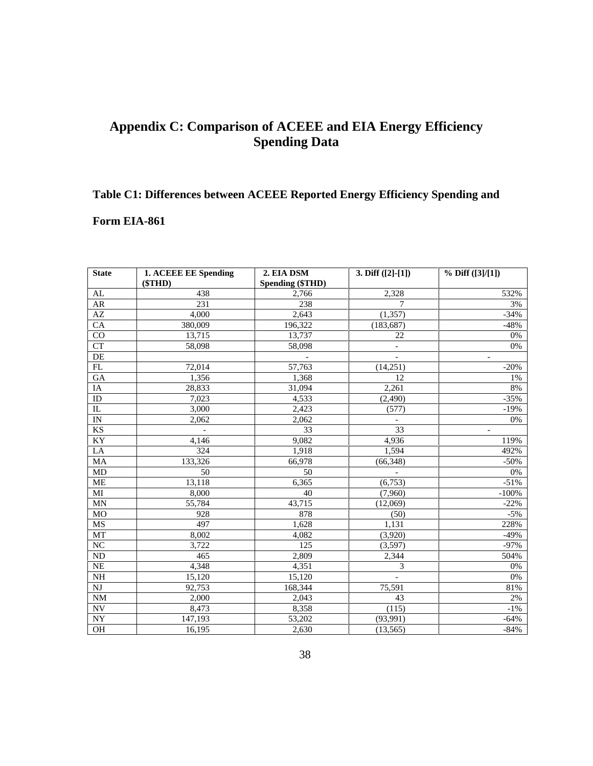## **Appendix C: Comparison of ACEEE and EIA Energy Efficiency Spending Data**

# **Table C1: Differences between ACEEE Reported Energy Efficiency Spending and Form EIA-861**

| <b>State</b>           | 1. ACEEE EE Spending     |                                | 3. Diff $([2]-[1])$               | $\frac{9}{6}$ Diff ([3]/[1]) |
|------------------------|--------------------------|--------------------------------|-----------------------------------|------------------------------|
|                        | (STHD)                   | 2. EIA DSM<br>Spending (\$THD) |                                   |                              |
| ΔI                     | 438                      | 2,766                          | 2,328                             | 532%                         |
| $\frac{AR}{AZ}$        | 231                      | 238                            | $\overline{7}$                    | 3%                           |
|                        | 4.000                    | 2,643                          | (1,357)                           | $-34\%$                      |
| CA                     | 380,009                  | 196,322                        | (183,687)                         | -48%                         |
| CO                     | 13,715                   | 13,737                         | 22                                | 0%                           |
| CT                     | 58,098                   | 58,098                         | and the state of the              | 0%                           |
| DE                     |                          | and the control of the control | and the state of the state of     | and the state of the state   |
|                        | 72,014                   | 57,763                         | (14,251)                          | $-20%$                       |
| GA                     | 1,356                    | 1,368                          | 12                                |                              |
|                        | 28,833                   | 31,094                         | 2,261                             | 8%                           |
| ID                     | 7,023                    | 4.533                          | (2,490)                           | $-35%$                       |
|                        | 3.000                    | 2.423                          | (577)                             | -19%                         |
| IN                     | 2,062                    | 2,062                          | <b>Contract Contract Contract</b> | 0%                           |
| KS                     | <b>Contract Contract</b> | $\mathcal{L}$                  | $\overline{33}$                   | and the control of           |
| KY                     | 4,146                    | 9,082                          | 4,936                             | $\frac{119\%}{492\%}$        |
| LA                     | 324                      | 1.918                          | 1,594                             |                              |
| $\frac{MA}{MD}$        | 133,326                  | 66,978                         | (66,348)                          | -50%                         |
|                        | $50 -$                   | - 50                           | <b>Contract Contract</b>          | 0%                           |
| $\overline{\text{ME}}$ | 13,118                   | 6,365                          | (6,753)                           | $-51\%$<br>-100%             |
| $\overline{MI}$        | 8,000                    | 40                             | (7,960)                           |                              |
| MN                     | 55,784                   | 43,715                         | (12,069)                          | $-22%$                       |
| MO                     | 928                      | 878                            | (50)                              | $-5\%$                       |
| $\overline{\text{MS}}$ | 497                      | 1.628                          | 1,131                             | $\frac{228\%}{-49\%}$        |
| MT                     | 8,002                    | 4,082                          | (3,920)                           |                              |
| NC                     | 3,722                    | 125                            | (3,597)                           |                              |
| ND                     | 465                      | 2,809                          | 2,344                             | 504%                         |
| NE .                   | 4,348                    | 4,351                          |                                   | 0%                           |
| $\frac{1}{N}$          | 15,120                   | 15,120                         | and the state of the              | 0%                           |
| NI                     | 92,753                   | 168,344                        | 75,591                            | 81%                          |
| NM                     | 2.000                    | 2.043                          | 43                                |                              |
| NV -                   | 8,473                    | 8.358                          | (115)                             | $-1\%$                       |
| NY                     | 147,193                  | 53,202                         | $\frac{(93,991)}{(13,565)}$       | -64%                         |
| OH                     | 16,195                   | 2.630                          |                                   | -84%                         |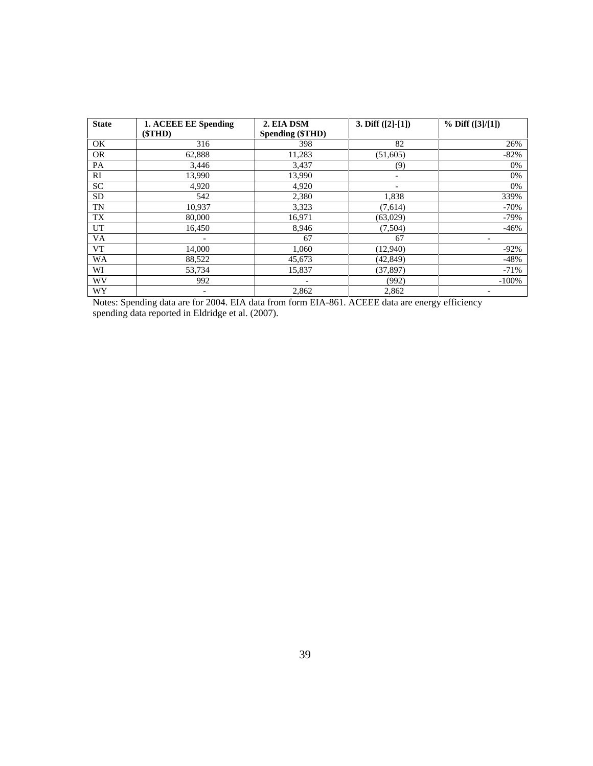| <b>State</b> | 1. ACEEE EE Spending                                                                            | 2. EIA DSM       | 3. Diff $([2]-[1])$ | $\frac{9}{6}$ Diff ([3]/[1]) |
|--------------|-------------------------------------------------------------------------------------------------|------------------|---------------------|------------------------------|
|              | (STHD)                                                                                          | Spending (\$THD) |                     |                              |
|              |                                                                                                 |                  |                     |                              |
|              | 62.888                                                                                          | 11,283           | (51,605)            |                              |
|              | 3.446                                                                                           |                  |                     |                              |
|              | 13.990                                                                                          | 13,990           |                     |                              |
|              | 4.920-                                                                                          |                  |                     |                              |
|              |                                                                                                 | 38O              | .838                |                              |
|              | 10.937                                                                                          |                  | (7.614)             |                              |
|              | - 80.000                                                                                        | 16,971           | (63,029)            |                              |
|              | 16,450                                                                                          | 8.940            | .504)               |                              |
| VA.          |                                                                                                 |                  |                     |                              |
|              | 14,000                                                                                          | 1.060            | (12,940)            |                              |
| WA           | 88,522                                                                                          | 45.673           | (42, 849)           |                              |
|              | 53.734                                                                                          | 15.837           | (37.897)            |                              |
| WV           | -992                                                                                            |                  |                     |                              |
| <b>WY</b>    |                                                                                                 |                  | 2.862               |                              |
|              | Notes: Spending data are for 2004. EIA data from form EIA-861. ACEEE data are energy efficiency |                  |                     |                              |

spending data reported in Eldridge et al. (2007).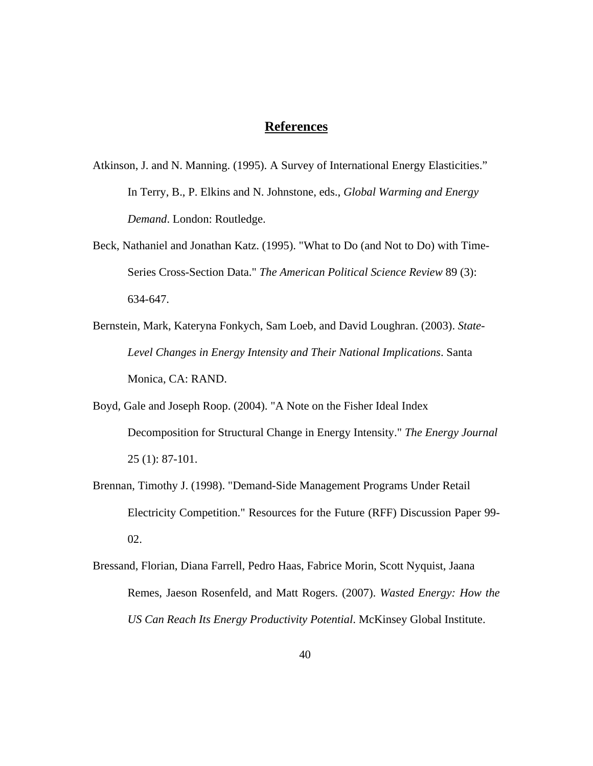## **References**

- Atkinson, J. and N. Manning. (1995). A Survey of International Energy Elasticities." In Terry, B., P. Elkins and N. Johnstone, eds., *Global Warming and Energy Demand*. London: Routledge.
- Beck, Nathaniel and Jonathan Katz. (1995). "What to Do (and Not to Do) with Time- Series Cross-Section Data." *The American Political Science Review* 89 (3): 634-647.
- Bernstein, Mark, Kateryna Fonkych, Sam Loeb, and David Loughran. (2003). *State- Level Changes in Energy Intensity and Their National Implications*. Santa Monica, CA: RAND.
- Boyd, Gale and Joseph Roop. (2004). "A Note on the Fisher Ideal Index Decomposition for Structural Change in Energy Intensity." *The Energy Journal* 25 (1): 87-101.
- Brennan, Timothy J. (1998). "Demand-Side Management Programs Under Retail Electricity Competition." Resources for the Future (RFF) Discussion Paper 99- 02.
- Bressand, Florian, Diana Farrell, Pedro Haas, Fabrice Morin, Scott Nyquist, Jaana Remes, Jaeson Rosenfeld, and Matt Rogers. (2007). *Wasted Energy: How the US Can Reach Its Energy Productivity Potential*. McKinsey Global Institute.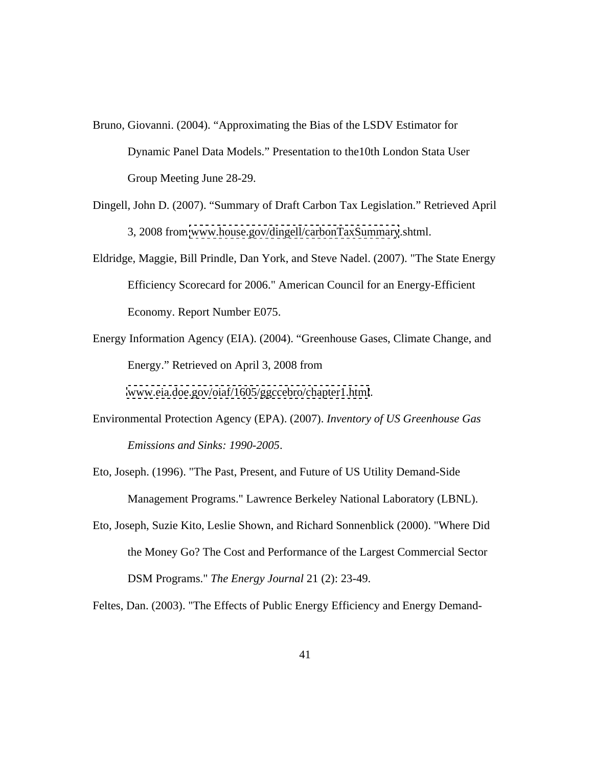- Bruno, Giovanni. (2004). "Approximating the Bias of the LSDV Estimator for Dynamic Panel Data Models." Presentation to the10th London Stata User Group Meeting June 28-29.
- Dingell, John D. (2007). "Summary of Draft Carbon Tax Legislation." Retrieved April 3, 2008 from [www.house.gov/dingell/carbonTaxSummary](http://www.house.gov/dingell/carbonTaxSummary).shtml.
- Eldridge, Maggie, Bill Prindle, Dan York, and Steve Nadel. (2007). "The State Energy Efficiency Scorecard for 2006." American Council for an Energy-Efficient Economy. Report Number E075.
- Energy Information Agency (EIA). (2004). "Greenhouse Gases, Climate Change, and Energy." Retrieved on April 3, 2008 from

[www.eia.doe.gov/oiaf/1605/ggccebro/chapter1.html](http://www.eia.doe.gov/oiaf/1605/ggccebro/chapter1.html).

- Environmental Protection Agency (EPA). (2007). *Inventory of US Greenhouse Gas Emissions and Sinks: 1990-2005*.
- Eto, Joseph. (1996). "The Past, Present, and Future of US Utility Demand-Side Management Programs." Lawrence Berkeley National Laboratory (LBNL).
- Eto, Joseph, Suzie Kito, Leslie Shown, and Richard Sonnenblick (2000). "Where Did the Money Go? The Cost and Performance of the Largest Commercial Sector DSM Programs." *The Energy Journal* 21 (2): 23-49.

Feltes, Dan. (2003). "The Effects of Public Energy Efficiency and Energy Demand-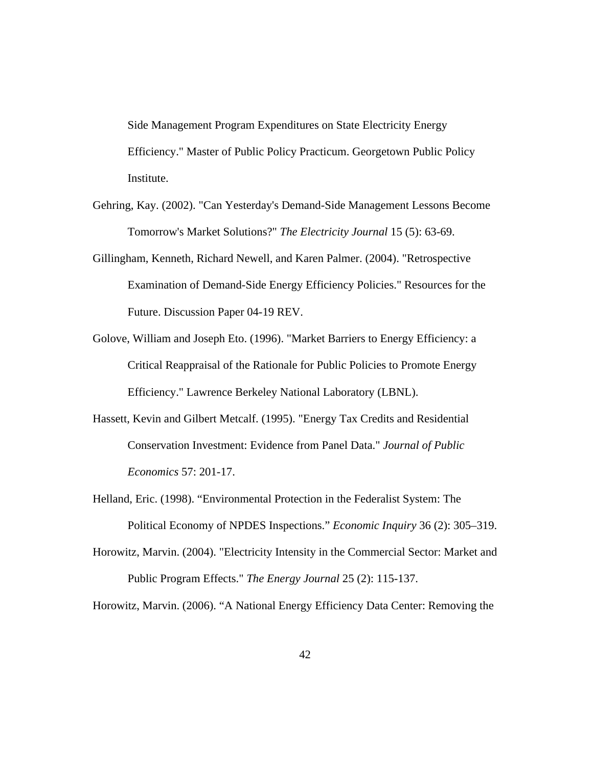Side Management Program Expenditures on State Electricity Energy Efficiency." Master of Public Policy Practicum. Georgetown Public Policy Institute.

- Gehring, Kay. (2002). "Can Yesterday's Demand-Side Management Lessons Become Tomorrow's Market Solutions?" *The Electricity Journal* 15 (5): 63-69.
- Gillingham, Kenneth, Richard Newell, and Karen Palmer. (2004). "Retrospective Examination of Demand-Side Energy Efficiency Policies." Resources for the Future. Discussion Paper 04-19 REV.
- Golove, William and Joseph Eto. (1996). "Market Barriers to Energy Efficiency: a Critical Reappraisal of the Rationale for Public Policies to Promote Energy Efficiency." Lawrence Berkeley National Laboratory (LBNL).
- Hassett, Kevin and Gilbert Metcalf. (1995). "Energy Tax Credits and Residential Conservation Investment: Evidence from Panel Data." *Journal of Public Economics* 57: 201-17.
- Helland, Eric. (1998). "Environmental Protection in the Federalist System: The Political Economy of NPDES Inspections." *Economic Inquiry* 36 (2): 305–319.
- Horowitz, Marvin. (2004). "Electricity Intensity in the Commercial Sector: Market and Public Program Effects." *The Energy Journal* 25 (2): 115-137.

Horowitz, Marvin. (2006). "A National Energy Efficiency Data Center: Removing the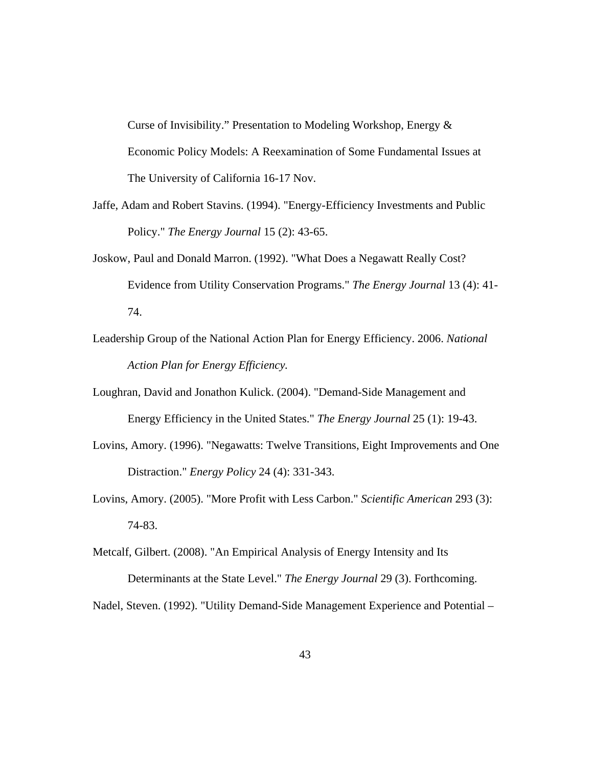Curse of Invisibility." Presentation to Modeling Workshop, Energy & Economic Policy Models: A Reexamination of Some Fundamental Issues at The University of California 16-17 Nov.

- Jaffe, Adam and Robert Stavins. (1994). "Energy-Efficiency Investments and Public Policy." *The Energy Journal* 15 (2): 43-65.
- Joskow, Paul and Donald Marron. (1992). "What Does a Negawatt Really Cost? Evidence from Utility Conservation Programs." *The Energy Journal* 13 (4): 41- 74.
- Leadership Group of the National Action Plan for Energy Efficiency. 2006. *National Action Plan for Energy Efficiency.*
- Loughran, David and Jonathon Kulick. (2004). "Demand-Side Management and Energy Efficiency in the United States." *The Energy Journal* 25 (1): 19-43.
- Lovins, Amory. (1996). "Negawatts: Twelve Transitions, Eight Improvements and One Distraction." *Energy Policy* 24 (4): 331-343.
- Lovins, Amory. (2005). "More Profit with Less Carbon." *Scientific American* 293 (3): 74-83.
- Metcalf, Gilbert. (2008). "An Empirical Analysis of Energy Intensity and Its Determinants at the State Level." *The Energy Journal* 29 (3). Forthcoming.

Nadel, Steven. (1992). "Utility Demand-Side Management Experience and Potential –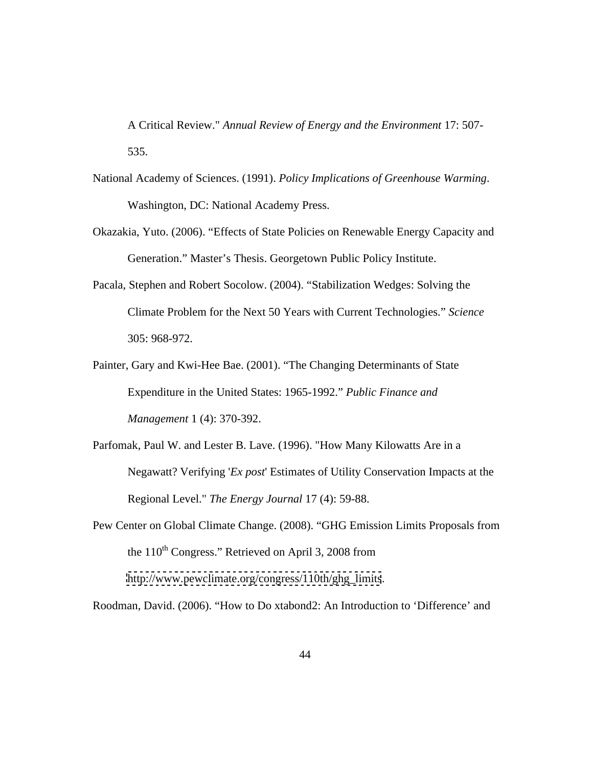A Critical Review." *Annual Review of Energy and the Environment* 17: 507- 535.

- National Academy of Sciences. (1991). *Policy Implications of Greenhouse Warming*. Washington, DC: National Academy Press.
- Okazakia, Yuto. (2006). "Effects of State Policies on Renewable Energy Capacity and Generation." Master's Thesis. Georgetown Public Policy Institute.
- Pacala, Stephen and Robert Socolow. (2004). "Stabilization Wedges: Solving the Climate Problem for the Next 50 Years with Current Technologies." *Science* 305: 968-972.
- Painter, Gary and Kwi-Hee Bae. (2001). "The Changing Determinants of State Expenditure in the United States: 1965-1992." *Public Finance and Management* 1 (4): 370-392.
- Parfomak, Paul W. and Lester B. Lave. (1996). "How Many Kilowatts Are in a Negawatt? Verifying '*Ex post*' Estimates of Utility Conservation Impacts at the Regional Level." *The Energy Journal* 17 (4): 59-88.
- Pew Center on Global Climate Change. (2008). "GHG Emission Limits Proposals from the  $110^{th}$  Congress." Retrieved on April 3, 2008 from [http://www.pewclimate.org/congress/110th/ghg\\_limits](http://www.pewclimate.org/congress/110th/ghg_limits).

Roodman, David. (2006). "How to Do xtabond2: An Introduction to 'Difference' and